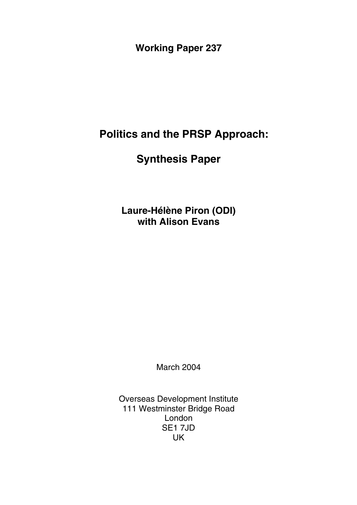**Working Paper 237** 

# **Politics and the PRSP Approach:**

# **Synthesis Paper**

**Laure-Hélène Piron (ODI) with Alison Evans** 

March 2004

Overseas Development Institute 111 Westminster Bridge Road London SE1 7JD UK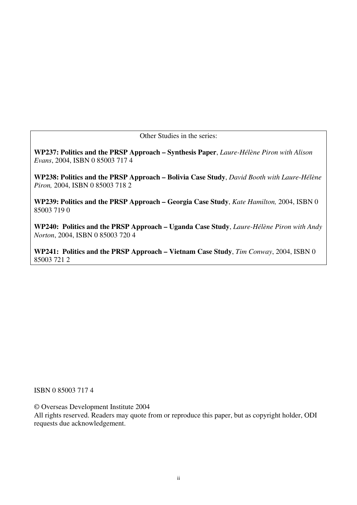Other Studies in the series:

**WP237: Politics and the PRSP Approach – Synthesis Paper**, *Laure-Hélène Piron with Alison Evans*, 2004, ISBN 0 85003 717 4

**WP238: Politics and the PRSP Approach – Bolivia Case Study**, *David Booth with Laure-Hélène Piron,* 2004, ISBN 0 85003 718 2

**WP239: Politics and the PRSP Approach – Georgia Case Study**, *Kate Hamilton,* 2004, ISBN 0 85003 719 0

**WP240: Politics and the PRSP Approach – Uganda Case Study**, *Laure-Hélène Piron with Andy Norton*, 2004, ISBN 0 85003 720 4

**WP241: Politics and the PRSP Approach – Vietnam Case Study**, *Tim Conway*, 2004, ISBN 0 85003 721 2

ISBN 0 85003 717 4

© Overseas Development Institute 2004

All rights reserved. Readers may quote from or reproduce this paper, but as copyright holder, ODI requests due acknowledgement.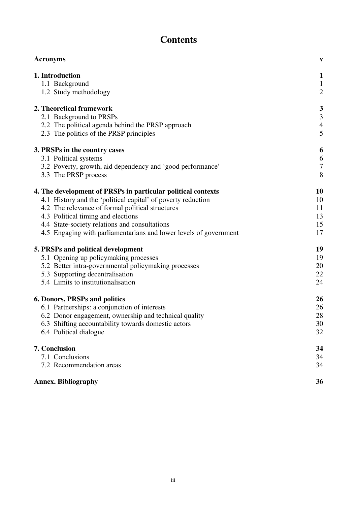# **Contents**

| <b>Acronyms</b>                                                   | $\mathbf{v}$     |
|-------------------------------------------------------------------|------------------|
| 1. Introduction                                                   | $\mathbf{1}$     |
| 1.1 Background                                                    | $\mathbf{1}$     |
| 1.2 Study methodology                                             | $\mathfrak{2}$   |
| 2. Theoretical framework                                          | $\boldsymbol{3}$ |
| 2.1 Background to PRSPs                                           | $\mathfrak{Z}$   |
| 2.2 The political agenda behind the PRSP approach                 | $\overline{4}$   |
| 2.3 The politics of the PRSP principles                           | 5                |
| 3. PRSPs in the country cases                                     | 6                |
| 3.1 Political systems                                             | 6                |
| 3.2 Poverty, growth, aid dependency and 'good performance'        | $\boldsymbol{7}$ |
| 3.3 The PRSP process                                              | 8                |
| 4. The development of PRSPs in particular political contexts      | <b>10</b>        |
| 4.1 History and the 'political capital' of poverty reduction      | 10               |
| 4.2 The relevance of formal political structures                  | 11               |
| 4.3 Political timing and elections                                | 13               |
| 4.4 State-society relations and consultations                     | 15               |
| 4.5 Engaging with parliamentarians and lower levels of government | 17               |
| 5. PRSPs and political development                                | 19               |
| 5.1 Opening up policymaking processes                             | 19               |
| 5.2 Better intra-governmental policymaking processes              | 20               |
| 5.3 Supporting decentralisation                                   | 22               |
| 5.4 Limits to institutionalisation                                | 24               |
| 6. Donors, PRSPs and politics                                     | <b>26</b>        |
| 6.1 Partnerships: a conjunction of interests                      | 26               |
| 6.2 Donor engagement, ownership and technical quality             | 28               |
| 6.3 Shifting accountability towards domestic actors               | 30               |
| 6.4 Political dialogue                                            | 32               |
| 7. Conclusion                                                     | 34               |
| 7.1 Conclusions                                                   | 34               |
| 7.2 Recommendation areas                                          | 34               |
| <b>Annex. Bibliography</b>                                        | 36               |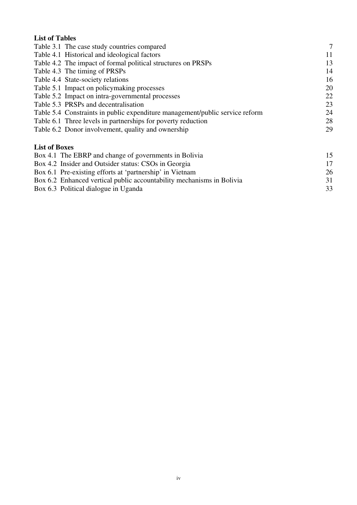# **List of Tables**

| Table 3.1 The case study countries compared                                  | 7  |
|------------------------------------------------------------------------------|----|
| Table 4.1 Historical and ideological factors                                 | 11 |
| Table 4.2 The impact of formal political structures on PRSPs                 | 13 |
| Table 4.3 The timing of PRSPs                                                | 14 |
| Table 4.4 State-society relations                                            | 16 |
| Table 5.1 Impact on policymaking processes                                   | 20 |
| Table 5.2 Impact on intra-governmental processes                             | 22 |
| Table 5.3 PRSPs and decentralisation                                         | 23 |
| Table 5.4 Constraints in public expenditure management/public service reform | 24 |
| Table 6.1 Three levels in partnerships for poverty reduction                 | 28 |
| Table 6.2 Donor involvement, quality and ownership                           | 29 |
|                                                                              |    |
| <b>List of Boxes</b>                                                         |    |
| Box 4.1 The EBRP and change of governments in Bolivia                        | 15 |
| Box 4.2 Insider and Outsider status: CSOs in Georgia                         | 17 |
| Box 6.1 Pre-existing efforts at 'partnership' in Vietnam                     | 26 |
| Box 6.2 Enhanced vertical public accountability mechanisms in Bolivia        | 31 |
| Box 6.3 Political dialogue in Uganda                                         | 33 |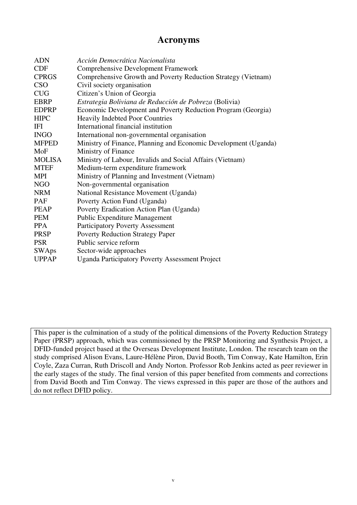# **Acronyms**

| <b>ADN</b>    | Acción Democrática Nacionalista                                 |
|---------------|-----------------------------------------------------------------|
| <b>CDF</b>    | <b>Comprehensive Development Framework</b>                      |
| <b>CPRGS</b>  | Comprehensive Growth and Poverty Reduction Strategy (Vietnam)   |
| <b>CSO</b>    | Civil society organisation                                      |
| <b>CUG</b>    | Citizen's Union of Georgia                                      |
| <b>EBRP</b>   | Estrategia Boliviana de Reducción de Pobreza (Bolivia)          |
| <b>EDPRP</b>  | Economic Development and Poverty Reduction Program (Georgia)    |
| <b>HIPC</b>   | <b>Heavily Indebted Poor Countries</b>                          |
| IFI.          | International financial institution                             |
| <b>INGO</b>   | International non-governmental organisation                     |
| <b>MFPED</b>  | Ministry of Finance, Planning and Economic Development (Uganda) |
| MoF           | Ministry of Finance                                             |
| <b>MOLISA</b> | Ministry of Labour, Invalids and Social Affairs (Vietnam)       |
| <b>MTEF</b>   | Medium-term expenditure framework                               |
| <b>MPI</b>    | Ministry of Planning and Investment (Vietnam)                   |
| NGO           | Non-governmental organisation                                   |
| <b>NRM</b>    | National Resistance Movement (Uganda)                           |
| <b>PAF</b>    | Poverty Action Fund (Uganda)                                    |
| <b>PEAP</b>   | Poverty Eradication Action Plan (Uganda)                        |
| <b>PEM</b>    | <b>Public Expenditure Management</b>                            |
| <b>PPA</b>    | <b>Participatory Poverty Assessment</b>                         |
| <b>PRSP</b>   | <b>Poverty Reduction Strategy Paper</b>                         |
| <b>PSR</b>    | Public service reform                                           |
| <b>SWAps</b>  | Sector-wide approaches                                          |
| <b>UPPAP</b>  | <b>Uganda Participatory Poverty Assessment Project</b>          |

This paper is the culmination of a study of the political dimensions of the Poverty Reduction Strategy Paper (PRSP) approach, which was commissioned by the PRSP Monitoring and Synthesis Project, a DFID-funded project based at the Overseas Development Institute, London. The research team on the study comprised Alison Evans, Laure-Hélène Piron, David Booth, Tim Conway, Kate Hamilton, Erin Coyle, Zaza Curran, Ruth Driscoll and Andy Norton. Professor Rob Jenkins acted as peer reviewer in the early stages of the study. The final version of this paper benefited from comments and corrections from David Booth and Tim Conway. The views expressed in this paper are those of the authors and do not reflect DFID policy.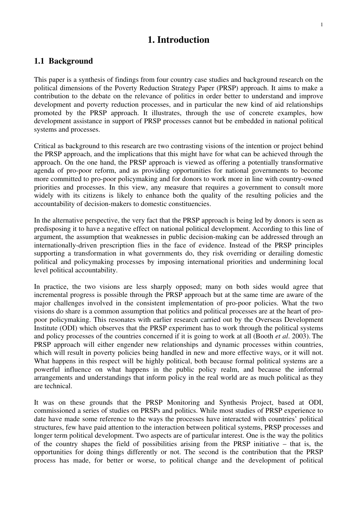# **1. Introduction**

### **1.1 Background**

This paper is a synthesis of findings from four country case studies and background research on the political dimensions of the Poverty Reduction Strategy Paper (PRSP) approach. It aims to make a contribution to the debate on the relevance of politics in order better to understand and improve development and poverty reduction processes, and in particular the new kind of aid relationships promoted by the PRSP approach. It illustrates, through the use of concrete examples, how development assistance in support of PRSP processes cannot but be embedded in national political systems and processes.

Critical as background to this research are two contrasting visions of the intention or project behind the PRSP approach, and the implications that this might have for what can be achieved through the approach. On the one hand, the PRSP approach is viewed as offering a potentially transformative agenda of pro-poor reform, and as providing opportunities for national governments to become more committed to pro-poor policymaking and for donors to work more in line with country-owned priorities and processes. In this view, any measure that requires a government to consult more widely with its citizens is likely to enhance both the quality of the resulting policies and the accountability of decision-makers to domestic constituencies.

In the alternative perspective, the very fact that the PRSP approach is being led by donors is seen as predisposing it to have a negative effect on national political development. According to this line of argument, the assumption that weaknesses in public decision-making can be addressed through an internationally-driven prescription flies in the face of evidence. Instead of the PRSP principles supporting a transformation in what governments do, they risk overriding or derailing domestic political and policymaking processes by imposing international priorities and undermining local level political accountability.

In practice, the two visions are less sharply opposed; many on both sides would agree that incremental progress is possible through the PRSP approach but at the same time are aware of the major challenges involved in the consistent implementation of pro-poor policies. What the two visions do share is a common assumption that politics and political processes are at the heart of propoor policymaking. This resonates with earlier research carried out by the Overseas Development Institute (ODI) which observes that the PRSP experiment has to work through the political systems and policy processes of the countries concerned if it is going to work at all (Booth *et al*. 2003). The PRSP approach will either engender new relationships and dynamic processes within countries, which will result in poverty policies being handled in new and more effective ways, or it will not. What happens in this respect will be highly political, both because formal political systems are a powerful influence on what happens in the public policy realm, and because the informal arrangements and understandings that inform policy in the real world are as much political as they are technical.

It was on these grounds that the PRSP Monitoring and Synthesis Project, based at ODI, commissioned a series of studies on PRSPs and politics. While most studies of PRSP experience to date have made some reference to the ways the processes have interacted with countries' political structures, few have paid attention to the interaction between political systems, PRSP processes and longer term political development. Two aspects are of particular interest. One is the way the politics of the country shapes the field of possibilities arising from the PRSP initiative – that is, the opportunities for doing things differently or not. The second is the contribution that the PRSP process has made, for better or worse, to political change and the development of political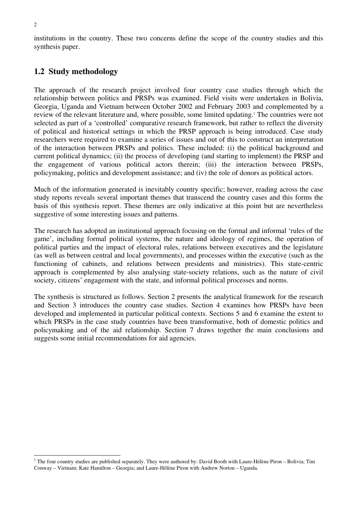$\overline{a}$ 

institutions in the country. These two concerns define the scope of the country studies and this synthesis paper.

### **1.2 Study methodology**

The approach of the research project involved four country case studies through which the relationship between politics and PRSPs was examined. Field visits were undertaken in Bolivia, Georgia, Uganda and Vietnam between October 2002 and February 2003 and complemented by a review of the relevant literature and, where possible, some limited updating.<sup>1</sup> The countries were not selected as part of a 'controlled' comparative research framework, but rather to reflect the diversity of political and historical settings in which the PRSP approach is being introduced. Case study researchers were required to examine a series of issues and out of this to construct an interpretation of the interaction between PRSPs and politics. These included: (i) the political background and current political dynamics; (ii) the process of developing (and starting to implement) the PRSP and the engagement of various political actors therein; (iii) the interaction between PRSPs, policymaking, politics and development assistance; and (iv) the role of donors as political actors.

Much of the information generated is inevitably country specific; however, reading across the case study reports reveals several important themes that transcend the country cases and this forms the basis of this synthesis report. These themes are only indicative at this point but are nevertheless suggestive of some interesting issues and patterns.

The research has adopted an institutional approach focusing on the formal and informal 'rules of the game', including formal political systems, the nature and ideology of regimes, the operation of political parties and the impact of electoral rules, relations between executives and the legislature (as well as between central and local governments), and processes within the executive (such as the functioning of cabinets, and relations between presidents and ministries). This state-centric approach is complemented by also analysing state-society relations, such as the nature of civil society, citizens' engagement with the state, and informal political processes and norms.

The synthesis is structured as follows. Section 2 presents the analytical framework for the research and Section 3 introduces the country case studies. Section 4 examines how PRSPs have been developed and implemented in particular political contexts. Sections 5 and 6 examine the extent to which PRSPs in the case study countries have been transformative, both of domestic politics and policymaking and of the aid relationship. Section 7 draws together the main conclusions and suggests some initial recommendations for aid agencies.

<sup>1</sup> The four country studies are published separately. They were authored by: David Booth with Laure-Hélène Piron – Bolivia; Tim Conway – Vietnam; Kate Hamilton – Georgia; and Laure-Hélène Piron with Andrew Norton – Uganda.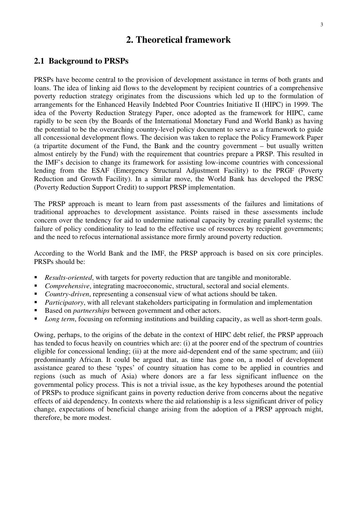# **2. Theoretical framework**

### **2.1 Background to PRSPs**

PRSPs have become central to the provision of development assistance in terms of both grants and loans. The idea of linking aid flows to the development by recipient countries of a comprehensive poverty reduction strategy originates from the discussions which led up to the formulation of arrangements for the Enhanced Heavily Indebted Poor Countries Initiative II (HIPC) in 1999. The idea of the Poverty Reduction Strategy Paper, once adopted as the framework for HIPC, came rapidly to be seen (by the Boards of the International Monetary Fund and World Bank) as having the potential to be the overarching country-level policy document to serve as a framework to guide all concessional development flows. The decision was taken to replace the Policy Framework Paper (a tripartite document of the Fund, the Bank and the country government – but usually written almost entirely by the Fund) with the requirement that countries prepare a PRSP. This resulted in the IMF's decision to change its framework for assisting low-income countries with concessional lending from the ESAF (Emergency Structural Adjustment Facility) to the PRGF (Poverty Reduction and Growth Facility). In a similar move, the World Bank has developed the PRSC (Poverty Reduction Support Credit) to support PRSP implementation.

The PRSP approach is meant to learn from past assessments of the failures and limitations of traditional approaches to development assistance. Points raised in these assessments include concern over the tendency for aid to undermine national capacity by creating parallel systems; the failure of policy conditionality to lead to the effective use of resources by recipient governments; and the need to refocus international assistance more firmly around poverty reduction.

According to the World Bank and the IMF, the PRSP approach is based on six core principles. PRSPs should be:

- *Results-oriented*, with targets for poverty reduction that are tangible and monitorable.
- *Comprehensive*, integrating macroeconomic, structural, sectoral and social elements.
- *Country-driven*, representing a consensual view of what actions should be taken.
- **Participatory, with all relevant stakeholders participating in formulation and implementation**
- Based on *partnerships* between government and other actors.
- *Long term*, focusing on reforming institutions and building capacity, as well as short-term goals.

Owing, perhaps, to the origins of the debate in the context of HIPC debt relief, the PRSP approach has tended to focus heavily on countries which are: (i) at the poorer end of the spectrum of countries eligible for concessional lending; (ii) at the more aid-dependent end of the same spectrum; and (iii) predominantly African. It could be argued that, as time has gone on, a model of development assistance geared to these 'types' of country situation has come to be applied in countries and regions (such as much of Asia) where donors are a far less significant influence on the governmental policy process. This is not a trivial issue, as the key hypotheses around the potential of PRSPs to produce significant gains in poverty reduction derive from concerns about the negative effects of aid dependency. In contexts where the aid relationship is a less significant driver of policy change, expectations of beneficial change arising from the adoption of a PRSP approach might, therefore, be more modest.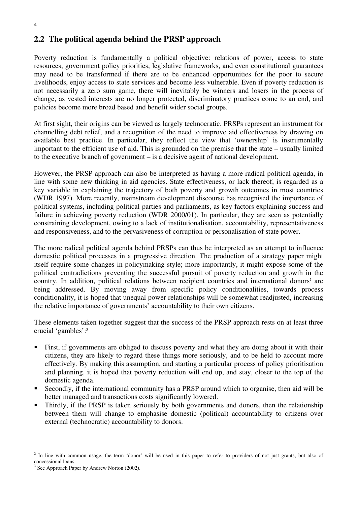#### 4

### **2.2 The political agenda behind the PRSP approach**

Poverty reduction is fundamentally a political objective: relations of power, access to state resources, government policy priorities, legislative frameworks, and even constitutional guarantees may need to be transformed if there are to be enhanced opportunities for the poor to secure livelihoods, enjoy access to state services and become less vulnerable. Even if poverty reduction is not necessarily a zero sum game, there will inevitably be winners and losers in the process of change, as vested interests are no longer protected, discriminatory practices come to an end, and policies become more broad based and benefit wider social groups.

At first sight, their origins can be viewed as largely technocratic. PRSPs represent an instrument for channelling debt relief, and a recognition of the need to improve aid effectiveness by drawing on available best practice. In particular, they reflect the view that 'ownership' is instrumentally important to the efficient use of aid. This is grounded on the premise that the state – usually limited to the executive branch of government – is a decisive agent of national development.

However, the PRSP approach can also be interpreted as having a more radical political agenda, in line with some new thinking in aid agencies. State effectiveness, or lack thereof, is regarded as a key variable in explaining the trajectory of both poverty and growth outcomes in most countries (WDR 1997). More recently, mainstream development discourse has recognised the importance of political systems, including political parties and parliaments, as key factors explaining success and failure in achieving poverty reduction (WDR 2000/01). In particular, they are seen as potentially constraining development, owing to a lack of institutionalisation, accountability, representativeness and responsiveness, and to the pervasiveness of corruption or personalisation of state power.

The more radical political agenda behind PRSPs can thus be interpreted as an attempt to influence domestic political processes in a progressive direction. The production of a strategy paper might itself require some changes in policymaking style; more importantly, it might expose some of the political contradictions preventing the successful pursuit of poverty reduction and growth in the country. In addition, political relations between recipient countries and international donors<sup>2</sup> are being addressed. By moving away from specific policy conditionalities, towards process conditionality, it is hoped that unequal power relationships will be somewhat readjusted, increasing the relative importance of governments' accountability to their own citizens.

These elements taken together suggest that the success of the PRSP approach rests on at least three crucial 'gambles':3

- First, if governments are obliged to discuss poverty and what they are doing about it with their citizens, they are likely to regard these things more seriously, and to be held to account more effectively*.* By making this assumption, and starting a particular process of policy prioritisation and planning, it is hoped that poverty reduction will end up, and stay, closer to the top of the domestic agenda.
- Secondly, if the international community has a PRSP around which to organise, then aid will be better managed and transactions costs significantly lowered.
- Thirdly, if the PRSP is taken seriously by both governments and donors, then the relationship between them will change to emphasise domestic (political) accountability to citizens over external (technocratic) accountability to donors.

 $\overline{a}$ 

<sup>2</sup> In line with common usage, the term 'donor' will be used in this paper to refer to providers of not just grants, but also of concessional loans. 3 See Approach Paper by Andrew Norton (2002).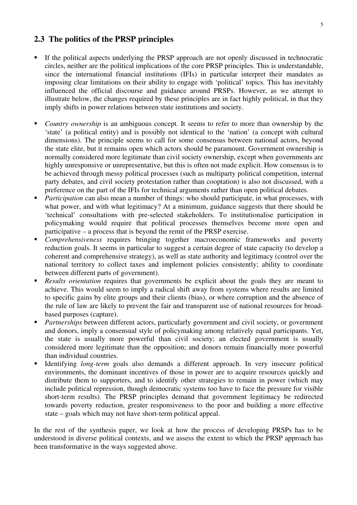#### **2.3 The politics of the PRSP principles**

- If the political aspects underlying the PRSP approach are not openly discussed in technocratic circles, neither are the political implications of the core PRSP principles. This is understandable, since the international financial institutions (IFIs) in particular interpret their mandates as imposing clear limitations on their ability to engage with 'political' topics. This has inevitably influenced the official discourse and guidance around PRSPs. However, as we attempt to illustrate below, the changes required by these principles are in fact highly political, in that they imply shifts in power relations between state institutions and society.
- *Country ownership* is an ambiguous concept. It seems to refer to more than ownership by the 'state' (a political entity) and is possibly not identical to the 'nation' (a concept with cultural dimensions). The principle seems to call for some consensus between national actors, beyond the state elite, but it remains open which actors should be paramount. Government ownership is normally considered more legitimate than civil society ownership, except when governments are highly unresponsive or unrepresentative, but this is often not made explicit. How consensus is to be achieved through messy political processes (such as multiparty political competition, internal party debates, and civil society protestation rather than cooptation) is also not discussed, with a preference on the part of the IFIs for technical arguments rather than open political debates.
- *Participation* can also mean a number of things: who should participate, in what processes, with what power, and with what legitimacy? At a minimum, guidance suggests that there should be 'technical' consultations with pre-selected stakeholders. To institutionalise participation in policymaking would require that political processes themselves become more open and participative – a process that is beyond the remit of the PRSP exercise.
- *Comprehensiveness* requires bringing together macroeconomic frameworks and poverty reduction goals. It seems in particular to suggest a certain degree of state capacity (to develop a coherent and comprehensive strategy), as well as state authority and legitimacy (control over the national territory to collect taxes and implement policies consistently; ability to coordinate between different parts of government).
- *Results orientation* requires that governments be explicit about the goals they are meant to achieve. This would seem to imply a radical shift away from systems where results are limited to specific gains by elite groups and their clients (bias), or where corruption and the absence of the rule of law are likely to prevent the fair and transparent use of national resources for broadbased purposes (capture).
- *Partnerships* between different actors, particularly government and civil society, or government and donors, imply a consensual style of policymaking among relatively equal participants. Yet, the state is usually more powerful than civil society; an elected government is usually considered more legitimate than the opposition; and donors remain financially more powerful than individual countries.
- Identifying *long-term* goals also demands a different approach. In very insecure political environments, the dominant incentives of those in power are to acquire resources quickly and distribute them to supporters, and to identify other strategies to remain in power (which may include political repression, though democratic systems too have to face the pressure for visible short-term results). The PRSP principles demand that government legitimacy be redirected towards poverty reduction, greater responsiveness to the poor and building a more effective state – goals which may not have short-term political appeal.

In the rest of the synthesis paper, we look at how the process of developing PRSPs has to be understood in diverse political contexts, and we assess the extent to which the PRSP approach has been transformative in the ways suggested above.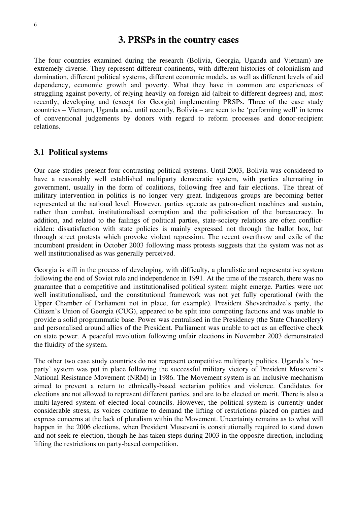### **3. PRSPs in the country cases**

The four countries examined during the research (Bolivia, Georgia, Uganda and Vietnam) are extremely diverse. They represent different continents, with different histories of colonialism and domination, different political systems, different economic models, as well as different levels of aid dependency, economic growth and poverty. What they have in common are experiences of struggling against poverty, of relying heavily on foreign aid (albeit to different degrees) and, most recently, developing and (except for Georgia) implementing PRSPs. Three of the case study countries – Vietnam, Uganda and, until recently, Bolivia – are seen to be 'performing well' in terms of conventional judgements by donors with regard to reform processes and donor-recipient relations.

#### **3.1 Political systems**

Our case studies present four contrasting political systems. Until 2003, Bolivia was considered to have a reasonably well established multiparty democratic system, with parties alternating in government, usually in the form of coalitions, following free and fair elections. The threat of military intervention in politics is no longer very great. Indigenous groups are becoming better represented at the national level. However, parties operate as patron-client machines and sustain, rather than combat, institutionalised corruption and the politicisation of the bureaucracy. In addition, and related to the failings of political parties, state-society relations are often conflictridden: dissatisfaction with state policies is mainly expressed not through the ballot box, but through street protests which provoke violent repression. The recent overthrow and exile of the incumbent president in October 2003 following mass protests suggests that the system was not as well institutionalised as was generally perceived.

Georgia is still in the process of developing, with difficulty, a pluralistic and representative system following the end of Soviet rule and independence in 1991. At the time of the research, there was no guarantee that a competitive and institutionalised political system might emerge. Parties were not well institutionalised, and the constitutional framework was not yet fully operational (with the Upper Chamber of Parliament not in place, for example). President Shevardnadze's party, the Citizen's Union of Georgia (CUG), appeared to be split into competing factions and was unable to provide a solid programmatic base. Power was centralised in the Presidency (the State Chancellery) and personalised around allies of the President. Parliament was unable to act as an effective check on state power. A peaceful revolution following unfair elections in November 2003 demonstrated the fluidity of the system.

The other two case study countries do not represent competitive multiparty politics. Uganda's 'noparty' system was put in place following the successful military victory of President Museveni's National Resistance Movement (NRM) in 1986. The Movement system is an inclusive mechanism aimed to prevent a return to ethnically-based sectarian politics and violence. Candidates for elections are not allowed to represent different parties, and are to be elected on merit. There is also a multi-layered system of elected local councils. However, the political system is currently under considerable stress, as voices continue to demand the lifting of restrictions placed on parties and express concerns at the lack of pluralism within the Movement. Uncertainty remains as to what will happen in the 2006 elections, when President Museveni is constitutionally required to stand down and not seek re-election, though he has taken steps during 2003 in the opposite direction, including lifting the restrictions on party-based competition.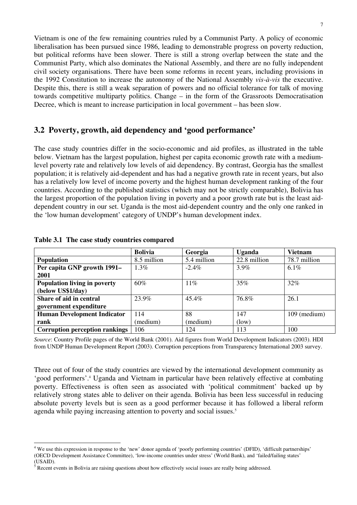Vietnam is one of the few remaining countries ruled by a Communist Party. A policy of economic liberalisation has been pursued since 1986, leading to demonstrable progress on poverty reduction, but political reforms have been slower. There is still a strong overlap between the state and the Communist Party, which also dominates the National Assembly, and there are no fully independent civil society organisations. There have been some reforms in recent years, including provisions in the 1992 Constitution to increase the autonomy of the National Assembly *vis-à-vis* the executive. Despite this, there is still a weak separation of powers and no official tolerance for talk of moving towards competitive multiparty politics. Change – in the form of the Grassroots Democratisation Decree, which is meant to increase participation in local government – has been slow.

## **3.2 Poverty, growth, aid dependency and 'good performance'**

The case study countries differ in the socio-economic and aid profiles, as illustrated in the table below. Vietnam has the largest population, highest per capita economic growth rate with a mediumlevel poverty rate and relatively low levels of aid dependency. By contrast, Georgia has the smallest population; it is relatively aid-dependent and has had a negative growth rate in recent years, but also has a relatively low level of income poverty and the highest human development ranking of the four countries. According to the published statistics (which may not be strictly comparable), Bolivia has the largest proportion of the population living in poverty and a poor growth rate but is the least aiddependent country in our set. Uganda is the most aid-dependent country and the only one ranked in the 'low human development' category of UNDP's human development index.

|                                       | <b>Bolivia</b> | Georgia     | <b>Uganda</b> | <b>Vietnam</b> |
|---------------------------------------|----------------|-------------|---------------|----------------|
| <b>Population</b>                     | 8.5 million    | 5.4 million | 22.8 million  | 78.7 million   |
| Per capita GNP growth 1991-           | $1.3\%$        | $-2.4\%$    | $3.9\%$       | $6.1\%$        |
| 2001                                  |                |             |               |                |
| <b>Population living in poverty</b>   | $60\%$         | $11\%$      | 35%           | $32\%$         |
| (below US\$1/day)                     |                |             |               |                |
| Share of aid in central               | 23.9%          | 45.4%       | 76.8%         | 26.1           |
| government expenditure                |                |             |               |                |
| <b>Human Development Indicator</b>    | 114            | 88          | 147           | $109$ (medium) |
| rank                                  | (medium)       | (medium)    | (low)         |                |
| <b>Corruption perception rankings</b> | 106            | 124         | 113           | 100            |

#### **Table 3.1 The case study countries compared**

 $\overline{a}$ 

*Source*: Country Profile pages of the World Bank (2001). Aid figures from World Development Indicators (2003). HDI from UNDP Human Development Report (2003). Corruption perceptions from Transparency International 2003 survey.

Three out of four of the study countries are viewed by the international development community as 'good performers'.4 Uganda and Vietnam in particular have been relatively effective at combating poverty. Effectiveness is often seen as associated with 'political commitment' backed up by relatively strong states able to deliver on their agenda. Bolivia has been less successful in reducing absolute poverty levels but is seen as a good performer because it has followed a liberal reform agenda while paying increasing attention to poverty and social issues.<sup>5</sup>

<sup>&</sup>lt;sup>4</sup> We use this expression in response to the 'new' donor agenda of 'poorly performing countries' (DFID), 'difficult partnerships' (OECD Development Assistance Committee), 'low-income countries under stress' (World Bank), and 'failed/failing states' (USAID).

 $<sup>5</sup>$  Recent events in Bolivia are raising questions about how effectively social issues are really being addressed.</sup>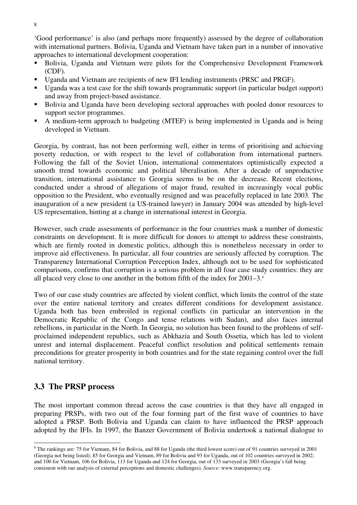'Good performance' is also (and perhaps more frequently) assessed by the degree of collaboration with international partners. Bolivia, Uganda and Vietnam have taken part in a number of innovative approaches to international development cooperation:

- Bolivia, Uganda and Vietnam were pilots for the Comprehensive Development Framework (CDF).
- Uganda and Vietnam are recipients of new IFI lending instruments (PRSC and PRGF).
- Uganda was a test case for the shift towards programmatic support (in particular budget support) and away from project-based assistance.
- Bolivia and Uganda have been developing sectoral approaches with pooled donor resources to support sector programmes.
- A medium-term approach to budgeting (MTEF) is being implemented in Uganda and is being developed in Vietnam.

Georgia, by contrast, has not been performing well, either in terms of prioritising and achieving poverty reduction, or with respect to the level of collaboration from international partners*.* Following the fall of the Soviet Union, international commentators optimistically expected a smooth trend towards economic and political liberalisation. After a decade of unproductive transition, international assistance to Georgia seems to be on the decrease. Recent elections, conducted under a shroud of allegations of major fraud, resulted in increasingly vocal public opposition to the President, who eventually resigned and was peacefully replaced in late 2003. The inauguration of a new president (a US-trained lawyer) in January 2004 was attended by high-level US representation, hinting at a change in international interest in Georgia.

However, such crude assessments of performance in the four countries mask a number of domestic constraints on development. It is more difficult for donors to attempt to address these constraints, which are firmly rooted in domestic politics, although this is nonetheless necessary in order to improve aid effectiveness. In particular, all four countries are seriously affected by corruption. The Transparency International Corruption Perception Index, although not to be used for sophisticated comparisons, confirms that corruption is a serious problem in all four case study countries: they are all placed very close to one another in the bottom fifth of the index for  $2001-3$ .<sup>6</sup>

Two of our case study countries are affected by violent conflict, which limits the control of the state over the entire national territory and creates different conditions for development assistance. Uganda both has been embroiled in regional conflicts (in particular an intervention in the Democratic Republic of the Congo and tense relations with Sudan), and also faces internal rebellions, in particular in the North. In Georgia, no solution has been found to the problems of selfproclaimed independent republics, such as Abkhazia and South Ossetia, which has led to violent unrest and internal displacement. Peaceful conflict resolution and political settlements remain preconditions for greater prosperity in both countries and for the state regaining control over the full national territory.

# **3.3 The PRSP process**

The most important common thread across the case countries is that they have all engaged in preparing PRSPs, with two out of the four forming part of the first wave of countries to have adopted a PRSP. Both Bolivia and Uganda can claim to have influenced the PRSP approach adopted by the IFIs. In 1997, the Banzer Government of Bolivia undertook a national dialogue to

<sup>&</sup>lt;sup>6</sup> The rankings are: 75 for Vietnam, 84 for Bolivia, and 88 for Uganda (the third lowest score) out of 91 countries surveyed in 2001 (Georgia not being listed); 85 for Georgia and Vietnam, 89 for Bolivia and 93 for Uganda, out of 102 countries surveyed in 2002; and 100 for Vietnam, 106 for Bolivia, 113 for Uganda and 124 for Georgia, out of 133 surveyed in 2003 (Georgia's fall being consistent with our analysis of external perceptions and domestic challenges). *Source*: www.transparency.org.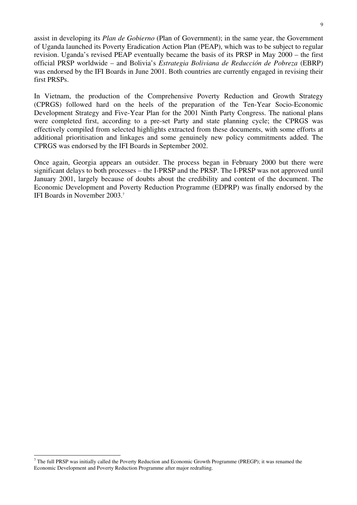assist in developing its *Plan de Gobierno* (Plan of Government); in the same year, the Government of Uganda launched its Poverty Eradication Action Plan (PEAP), which was to be subject to regular revision. Uganda's revised PEAP eventually became the basis of its PRSP in May 2000 – the first official PRSP worldwide – and Bolivia's *Estrategia Boliviana de Reducción de Pobreza* (EBRP) was endorsed by the IFI Boards in June 2001. Both countries are currently engaged in revising their first PRSPs.

In Vietnam, the production of the Comprehensive Poverty Reduction and Growth Strategy (CPRGS) followed hard on the heels of the preparation of the Ten-Year Socio-Economic Development Strategy and Five-Year Plan for the 2001 Ninth Party Congress. The national plans were completed first, according to a pre-set Party and state planning cycle; the CPRGS was effectively compiled from selected highlights extracted from these documents, with some efforts at additional prioritisation and linkages and some genuinely new policy commitments added. The CPRGS was endorsed by the IFI Boards in September 2002.

Once again, Georgia appears an outsider. The process began in February 2000 but there were significant delays to both processes – the I-PRSP and the PRSP. The I-PRSP was not approved until January 2001, largely because of doubts about the credibility and content of the document. The Economic Development and Poverty Reduction Programme (EDPRP) was finally endorsed by the IFI Boards in November 2003.7

 $\overline{a}$ 

<sup>7</sup> The full PRSP was initially called the Poverty Reduction and Economic Growth Programme (PREGP); it was renamed the Economic Development and Poverty Reduction Programme after major redrafting.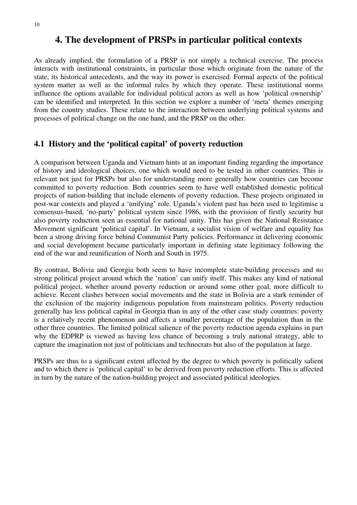# **4. The development of PRSPs in particular political contexts**

As already implied, the formulation of a PRSP is not simply a technical exercise. The process interacts with institutional constraints, in particular those which originate from the nature of the state, its historical antecedents, and the way its power is exercised. Formal aspects of the political system matter as well as the informal rules by which they operate. These institutional norms influence the options available for individual political actors as well as how 'political ownership' can be identified and interpreted. In this section we explore a number of 'meta' themes emerging from the country studies. These relate to the interaction between underlying political systems and processes of political change on the one hand, and the PRSP on the other.

## **4.1 History and the 'political capital' of poverty reduction**

A comparison between Uganda and Vietnam hints at an important finding regarding the importance of history and ideological choices, one which would need to be tested in other countries. This is relevant not just for PRSPs but also for understanding more generally how countries can become committed to poverty reduction. Both countries seem to have well established domestic political projects of nation-building that include elements of poverty reduction. These projects originated in post-war contexts and played a 'unifying' role. Uganda's violent past has been used to legitimise a consensus-based, 'no-party' political system since 1986, with the provision of firstly security but also poverty reduction seen as essential for national unity. This has given the National Resistance Movement significant 'political capital'. In Vietnam, a socialist vision of welfare and equality has been a strong driving force behind Communist Party policies. Performance in delivering economic and social development became particularly important in defining state legitimacy following the end of the war and reunification of North and South in 1975.

By contrast, Bolivia and Georgia both seem to have incomplete state-building processes and no strong political project around which the 'nation' can unify itself. This makes any kind of national political project, whether around poverty reduction or around some other goal, more difficult to achieve. Recent clashes between social movements and the state in Bolivia are a stark reminder of the exclusion of the majority indigenous population from mainstream politics. Poverty reduction generally has less political capital in Georgia than in any of the other case study countries: poverty is a relatively recent phenomenon and affects a smaller percentage of the population than in the other three countries. The limited political salience of the poverty reduction agenda explains in part why the EDPRP is viewed as having less chance of becoming a truly national strategy, able to capture the imagination not just of politicians and technocrats but also of the population at large.

PRSPs are thus to a significant extent affected by the degree to which poverty is politically salient and to which there is 'political capital' to be derived from poverty reduction efforts. This is affected in turn by the nature of the nation-building project and associated political ideologies.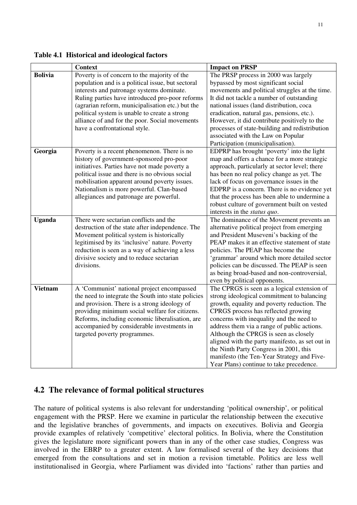|                | <b>Context</b>                                      | <b>Impact on PRSP</b>                           |
|----------------|-----------------------------------------------------|-------------------------------------------------|
| <b>Bolivia</b> | Poverty is of concern to the majority of the        | The PRSP process in 2000 was largely            |
|                | population and is a political issue, but sectoral   | bypassed by most significant social             |
|                | interests and patronage systems dominate.           | movements and political struggles at the time.  |
|                | Ruling parties have introduced pro-poor reforms     | It did not tackle a number of outstanding       |
|                | (agrarian reform, municipalisation etc.) but the    | national issues (land distribution, coca        |
|                | political system is unable to create a strong       | eradication, natural gas, pensions, etc.).      |
|                | alliance of and for the poor. Social movements      | However, it did contribute positively to the    |
|                | have a confrontational style.                       | processes of state-building and redistribution  |
|                |                                                     | associated with the Law on Popular              |
|                |                                                     | Participation (municipalisation).               |
| Georgia        | Poverty is a recent phenomenon. There is no         | EDPRP has brought 'poverty' into the light      |
|                | history of government-sponsored pro-poor            | map and offers a chance for a more strategic    |
|                | initiatives. Parties have not made poverty a        | approach, particularly at sector level; there   |
|                | political issue and there is no obvious social      | has been no real policy change as yet. The      |
|                | mobilisation apparent around poverty issues.        | lack of focus on governance issues in the       |
|                | Nationalism is more powerful. Clan-based            | EDPRP is a concern. There is no evidence yet    |
|                | allegiances and patronage are powerful.             | that the process has been able to undermine a   |
|                |                                                     | robust culture of government built on vested    |
|                |                                                     | interests in the <i>status quo</i> .            |
| <b>Uganda</b>  | There were sectarian conflicts and the              | The dominance of the Movement prevents an       |
|                | destruction of the state after independence. The    | alternative political project from emerging     |
|                | Movement political system is historically           | and President Museveni's backing of the         |
|                | legitimised by its 'inclusive' nature. Poverty      | PEAP makes it an effective statement of state   |
|                | reduction is seen as a way of achieving a less      | policies. The PEAP has become the               |
|                | divisive society and to reduce sectarian            | 'grammar' around which more detailed sector     |
|                | divisions.                                          | policies can be discussed. The PEAP is seen     |
|                |                                                     | as being broad-based and non-controversial,     |
|                |                                                     | even by political opponents.                    |
| <b>Vietnam</b> | A 'Communist' national project encompassed          | The CPRGS is seen as a logical extension of     |
|                | the need to integrate the South into state policies | strong ideological commitment to balancing      |
|                | and provision. There is a strong ideology of        | growth, equality and poverty reduction. The     |
|                | providing minimum social welfare for citizens.      | CPRGS process has reflected growing             |
|                | Reforms, including economic liberalisation, are     | concerns with inequality and the need to        |
|                | accompanied by considerable investments in          | address them via a range of public actions.     |
|                | targeted poverty programmes.                        | Although the CPRGS is seen as closely           |
|                |                                                     | aligned with the party manifesto, as set out in |
|                |                                                     | the Ninth Party Congress in 2001, this          |
|                |                                                     | manifesto (the Ten-Year Strategy and Five-      |
|                |                                                     | Year Plans) continue to take precedence.        |

**Table 4.1 Historical and ideological factors** 

## **4.2 The relevance of formal political structures**

The nature of political systems is also relevant for understanding 'political ownership', or political engagement with the PRSP. Here we examine in particular the relationship between the executive and the legislative branches of governments, and impacts on executives. Bolivia and Georgia provide examples of relatively 'competitive' electoral politics. In Bolivia, where the Constitution gives the legislature more significant powers than in any of the other case studies, Congress was involved in the EBRP to a greater extent. A law formalised several of the key decisions that emerged from the consultations and set in motion a revision timetable. Politics are less well institutionalised in Georgia, where Parliament was divided into 'factions' rather than parties and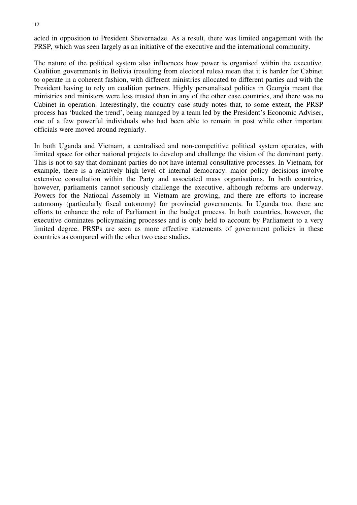acted in opposition to President Shevernadze. As a result, there was limited engagement with the PRSP, which was seen largely as an initiative of the executive and the international community.

The nature of the political system also influences how power is organised within the executive. Coalition governments in Bolivia (resulting from electoral rules) mean that it is harder for Cabinet to operate in a coherent fashion, with different ministries allocated to different parties and with the President having to rely on coalition partners. Highly personalised politics in Georgia meant that ministries and ministers were less trusted than in any of the other case countries, and there was no Cabinet in operation. Interestingly, the country case study notes that, to some extent, the PRSP process has 'bucked the trend', being managed by a team led by the President's Economic Adviser, one of a few powerful individuals who had been able to remain in post while other important officials were moved around regularly.

In both Uganda and Vietnam, a centralised and non-competitive political system operates, with limited space for other national projects to develop and challenge the vision of the dominant party. This is not to say that dominant parties do not have internal consultative processes. In Vietnam, for example, there is a relatively high level of internal democracy: major policy decisions involve extensive consultation within the Party and associated mass organisations. In both countries, however, parliaments cannot seriously challenge the executive, although reforms are underway. Powers for the National Assembly in Vietnam are growing, and there are efforts to increase autonomy (particularly fiscal autonomy) for provincial governments. In Uganda too, there are efforts to enhance the role of Parliament in the budget process. In both countries, however, the executive dominates policymaking processes and is only held to account by Parliament to a very limited degree. PRSPs are seen as more effective statements of government policies in these countries as compared with the other two case studies.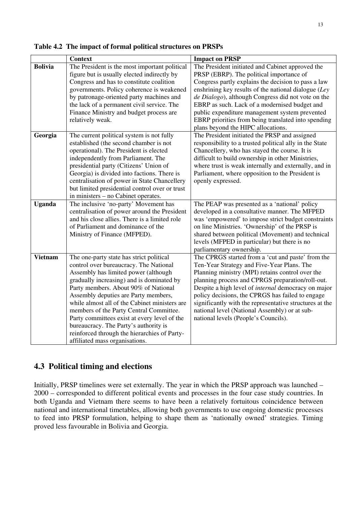|                | <b>Context</b>                                 | <b>Impact on PRSP</b>                                      |
|----------------|------------------------------------------------|------------------------------------------------------------|
| <b>Bolivia</b> | The President is the most important political  | The President initiated and Cabinet approved the           |
|                | figure but is usually elected indirectly by    | PRSP (EBRP). The political importance of                   |
|                | Congress and has to constitute coalition       | Congress partly explains the decision to pass a law        |
|                | governments. Policy coherence is weakened      | enshrining key results of the national dialogue (Ley       |
|                | by patronage-oriented party machines and       | de Dialogo), although Congress did not vote on the         |
|                | the lack of a permanent civil service. The     | EBRP as such. Lack of a modernised budget and              |
|                | Finance Ministry and budget process are        | public expenditure management system prevented             |
|                | relatively weak.                               | EBRP priorities from being translated into spending        |
|                |                                                | plans beyond the HIPC allocations.                         |
| Georgia        | The current political system is not fully      | The President initiated the PRSP and assigned              |
|                | established (the second chamber is not         | responsibility to a trusted political ally in the State    |
|                | operational). The President is elected         | Chancellery, who has stayed the course. It is              |
|                | independently from Parliament. The             | difficult to build ownership in other Ministries,          |
|                | presidential party (Citizens' Union of         | where trust is weak internally and externally, and in      |
|                | Georgia) is divided into factions. There is    | Parliament, where opposition to the President is           |
|                | centralisation of power in State Chancellery   | openly expressed.                                          |
|                | but limited presidential control over or trust |                                                            |
|                | in ministers – no Cabinet operates.            |                                                            |
| <b>Uganda</b>  | The inclusive 'no-party' Movement has          | The PEAP was presented as a 'national' policy              |
|                | centralisation of power around the President   | developed in a consultative manner. The MFPED              |
|                | and his close allies. There is a limited role  | was 'empowered' to impose strict budget constraints        |
|                | of Parliament and dominance of the             | on line Ministries. 'Ownership' of the PRSP is             |
|                | Ministry of Finance (MFPED).                   | shared between political (Movement) and technical          |
|                |                                                | levels (MFPED in particular) but there is no               |
|                |                                                | parliamentary ownership.                                   |
| <b>Vietnam</b> | The one-party state has strict political       | The CPRGS started from a 'cut and paste' from the          |
|                | control over bureaucracy. The National         | Ten-Year Strategy and Five-Year Plans. The                 |
|                | Assembly has limited power (although           | Planning ministry (MPI) retains control over the           |
|                | gradually increasing) and is dominated by      | planning process and CPRGS preparation/roll-out.           |
|                | Party members. About 90% of National           | Despite a high level of <i>internal</i> democracy on major |
|                | Assembly deputies are Party members,           | policy decisions, the CPRGS has failed to engage           |
|                | while almost all of the Cabinet ministers are  | significantly with the representative structures at the    |
|                | members of the Party Central Committee.        | national level (National Assembly) or at sub-              |
|                | Party committees exist at every level of the   | national levels (People's Councils).                       |
|                | bureaucracy. The Party's authority is          |                                                            |
|                | reinforced through the hierarchies of Party-   |                                                            |
|                | affiliated mass organisations.                 |                                                            |

**Table 4.2 The impact of formal political structures on PRSPs** 

# **4.3 Political timing and elections**

Initially, PRSP timelines were set externally. The year in which the PRSP approach was launched – 2000 – corresponded to different political events and processes in the four case study countries. In both Uganda and Vietnam there seems to have been a relatively fortuitous coincidence between national and international timetables, allowing both governments to use ongoing domestic processes to feed into PRSP formulation, helping to shape them as 'nationally owned' strategies. Timing proved less favourable in Bolivia and Georgia.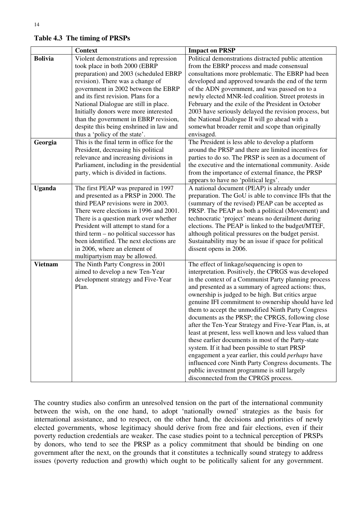|                | <b>Context</b>                            | <b>Impact on PRSP</b>                                  |
|----------------|-------------------------------------------|--------------------------------------------------------|
| <b>Bolivia</b> | Violent demonstrations and repression     | Political demonstrations distracted public attention   |
|                | took place in both 2000 (EBRP             | from the EBRP process and made consensual              |
|                | preparation) and 2003 (scheduled EBRP     | consultations more problematic. The EBRP had been      |
|                | revision). There was a change of          | developed and approved towards the end of the term     |
|                | government in 2002 between the EBRP       | of the ADN government, and was passed on to a          |
|                | and its first revision. Plans for a       | newly elected MNR-led coalition. Street protests in    |
|                | National Dialogue are still in place.     | February and the exile of the President in October     |
|                | Initially donors were more interested     | 2003 have seriously delayed the revision process, but  |
|                | than the government in EBRP revision,     | the National Dialogue II will go ahead with a          |
|                | despite this being enshrined in law and   | somewhat broader remit and scope than originally       |
|                | thus a 'policy of the state'.             | envisaged.                                             |
| Georgia        | This is the final term in office for the  | The President is less able to develop a platform       |
|                | President, decreasing his political       | around the PRSP and there are limited incentives for   |
|                | relevance and increasing divisions in     | parties to do so. The PRSP is seen as a document of    |
|                | Parliament, including in the presidential | the executive and the international community. Aside   |
|                | party, which is divided in factions.      | from the importance of external finance, the PRSP      |
|                |                                           | appears to have no 'political legs'.                   |
| <b>Uganda</b>  | The first PEAP was prepared in 1997       | A national document (PEAP) is already under            |
|                | and presented as a PRSP in 2000. The      | preparation. The GoU is able to convince IFIs that the |
|                | third PEAP revisions were in 2003.        | (summary of the revised) PEAP can be accepted as       |

There were elections in 1996 and 2001. There is a question mark over whether President will attempt to stand for a third term – no political successor has been identified. The next elections are

in 2006, where an element of multipartyism may be allowed.

aimed to develop a new Ten-Year development strategy and Five-Year

**Vietnam** | The Ninth Party Congress in 2001

Plan.

PRSP. The PEAP as both a political (Movement) and technocratic 'project' means no derailment during elections. The PEAP is linked to the budget/MTEF, although political pressures on the budget persist. Sustainability may be an issue if space for political

interpretation. Positively, the CPRGS was developed in the context of a Communist Party planning process and presented as a summary of agreed actions: thus, ownership is judged to be high. But critics argue genuine IFI commitment to ownership should have led them to accept the unmodified Ninth Party Congress documents as the PRSP; the CPRGS, following close after the Ten-Year Strategy and Five-Year Plan, is, at least at present, less well known and less valued than these earlier documents in most of the Party-state system. If it had been possible to start PRSP engagement a year earlier, this could *perhaps* have influenced core Ninth Party Congress documents. The

The effect of linkage/sequencing is open to

public investment programme is still largely disconnected from the CPRGS process.

dissent opens in 2006.

The country studies also confirm an unresolved tension on the part of the international community between the wish, on the one hand, to adopt 'nationally owned' strategies as the basis for international assistance, and to respect, on the other hand, the decisions and priorities of newly elected governments, whose legitimacy should derive from free and fair elections, even if their poverty reduction credentials are weaker. The case studies point to a technical perception of PRSPs by donors, who tend to see the PRSP as a policy commitment that should be binding on one government after the next, on the grounds that it constitutes a technically sound strategy to address issues (poverty reduction and growth) which ought to be politically salient for any government.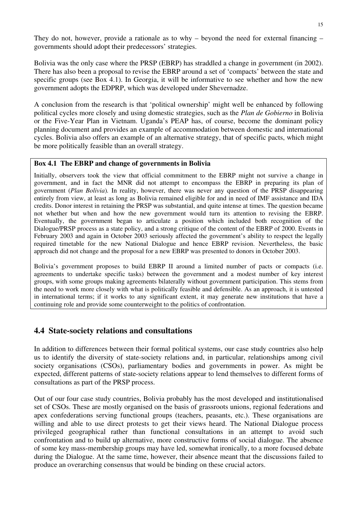They do not, however, provide a rationale as to why – beyond the need for external financing – governments should adopt their predecessors' strategies.

Bolivia was the only case where the PRSP (EBRP) has straddled a change in government (in 2002). There has also been a proposal to revise the EBRP around a set of 'compacts' between the state and specific groups (see Box 4.1). In Georgia, it will be informative to see whether and how the new government adopts the EDPRP, which was developed under Shevernadze.

A conclusion from the research is that 'political ownership' might well be enhanced by following political cycles more closely and using domestic strategies, such as the *Plan de Gobierno* in Bolivia or the Five-Year Plan in Vietnam. Uganda's PEAP has, of course, become the dominant policy planning document and provides an example of accommodation between domestic and international cycles. Bolivia also offers an example of an alternative strategy, that of specific pacts, which might be more politically feasible than an overall strategy.

#### **Box 4.1 The EBRP and change of governments in Bolivia**

Initially, observers took the view that official commitment to the EBRP might not survive a change in government, and in fact the MNR did not attempt to encompass the EBRP in preparing its plan of government (*Plan Bolivia*)*.* In reality, however, there was never any question of the PRSP disappearing entirely from view, at least as long as Bolivia remained eligible for and in need of IMF assistance and IDA credits. Donor interest in retaining the PRSP was substantial, and quite intense at times. The question became not whether but when and how the new government would turn its attention to revising the EBRP. Eventually, the government began to articulate a position which included both recognition of the Dialogue/PRSP process as a state policy, and a strong critique of the content of the EBRP of 2000. Events in February 2003 and again in October 2003 seriously affected the government's ability to respect the legally required timetable for the new National Dialogue and hence EBRP revision. Nevertheless, the basic approach did not change and the proposal for a new EBRP was presented to donors in October 2003.

Bolivia's government proposes to build EBRP II around a limited number of pacts or compacts (i.e. agreements to undertake specific tasks) between the government and a modest number of key interest groups, with some groups making agreements bilaterally without government participation. This stems from the need to work more closely with what is politically feasible and defensible. As an approach, it is untested in international terms; if it works to any significant extent, it may generate new institutions that have a continuing role and provide some counterweight to the politics of confrontation.

### **4.4 State-society relations and consultations**

In addition to differences between their formal political systems, our case study countries also help us to identify the diversity of state-society relations and, in particular, relationships among civil society organisations (CSOs), parliamentary bodies and governments in power. As might be expected, different patterns of state-society relations appear to lend themselves to different forms of consultations as part of the PRSP process.

Out of our four case study countries, Bolivia probably has the most developed and institutionalised set of CSOs. These are mostly organised on the basis of grassroots unions, regional federations and apex confederations serving functional groups (teachers, peasants, etc.). These organisations are willing and able to use direct protests to get their views heard. The National Dialogue process privileged geographical rather than functional consultations in an attempt to avoid such confrontation and to build up alternative, more constructive forms of social dialogue. The absence of some key mass-membership groups may have led, somewhat ironically, to a more focused debate during the Dialogue. At the same time, however, their absence meant that the discussions failed to produce an overarching consensus that would be binding on these crucial actors.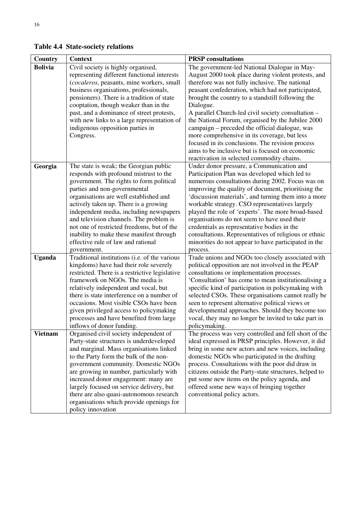| <b>Country</b> | <b>Context</b>                                                                    | <b>PRSP</b> consultations                                                                                  |
|----------------|-----------------------------------------------------------------------------------|------------------------------------------------------------------------------------------------------------|
| <b>Bolivia</b> | Civil society is highly organised,                                                | The government-led National Dialogue in May-                                                               |
|                | representing different functional interests                                       | August 2000 took place during violent protests, and                                                        |
|                | (cocaleros, peasants, mine workers, small                                         | therefore was not fully inclusive. The national                                                            |
|                | business organisations, professionals,                                            | peasant confederation, which had not participated,                                                         |
|                | pensioners). There is a tradition of state                                        | brought the country to a standstill following the                                                          |
|                | cooptation, though weaker than in the                                             | Dialogue.                                                                                                  |
|                | past, and a dominance of street protests,                                         | A parallel Church-led civil society consultation -                                                         |
|                | with new links to a large representation of                                       | the National Forum, organised by the Jubilee 2000                                                          |
|                | indigenous opposition parties in                                                  | campaign – preceded the official dialogue, was                                                             |
|                | Congress.                                                                         | more comprehensive in its coverage, but less                                                               |
|                |                                                                                   | focused in its conclusions. The revision process                                                           |
|                |                                                                                   | aims to be inclusive but is focused on economic                                                            |
|                |                                                                                   | reactivation in selected commodity chains.                                                                 |
| Georgia        | The state is weak; the Georgian public                                            | Under donor pressure, a Communication and                                                                  |
|                | responds with profound mistrust to the                                            | Participation Plan was developed which led to                                                              |
|                | government. The rights to form political                                          | numerous consultations during 2002. Focus was on                                                           |
|                | parties and non-governmental                                                      | improving the quality of document, prioritising the                                                        |
|                | organisations are well established and                                            | 'discussion materials', and turning them into a more                                                       |
|                | actively taken up. There is a growing                                             | workable strategy. CSO representatives largely                                                             |
|                | independent media, including newspapers                                           | played the role of 'experts'. The more broad-based                                                         |
|                | and television channels. The problem is                                           | organisations do not seem to have used their                                                               |
|                | not one of restricted freedoms, but of the                                        | credentials as representative bodies in the                                                                |
|                | inability to make these manifest through                                          | consultations. Representatives of religious or ethnic                                                      |
|                | effective rule of law and rational                                                | minorities do not appear to have participated in the                                                       |
|                | government.                                                                       | process.                                                                                                   |
| Uganda         | Traditional institutions (i.e. of the various                                     | Trade unions and NGOs too closely associated with                                                          |
|                | kingdoms) have had their role severely                                            | political opposition are not involved in the PEAP                                                          |
|                | restricted. There is a restrictive legislative<br>framework on NGOs. The media is | consultations or implementation processes.<br>'Consultation' has come to mean institutionalising a         |
|                | relatively independent and vocal, but                                             |                                                                                                            |
|                | there is state interference on a number of                                        | specific kind of participation in policymaking with<br>selected CSOs. These organisations cannot really be |
|                | occasions. Most visible CSOs have been                                            | seen to represent alternative political views or                                                           |
|                | given privileged access to policymaking                                           | developmental approaches. Should they become too                                                           |
|                | processes and have benefited from large                                           | vocal, they may no longer be invited to take part in                                                       |
|                | inflows of donor funding.                                                         | policymaking.                                                                                              |
| <b>Vietnam</b> | Organised civil society independent of                                            | The process was very controlled and fell short of the                                                      |
|                | Party-state structures is underdeveloped                                          | ideal expressed in PRSP principles. However, it did                                                        |
|                | and marginal. Mass organisations linked                                           | bring in some new actors and new voices, including                                                         |
|                | to the Party form the bulk of the non-                                            | domestic NGOs who participated in the drafting                                                             |
|                | government community. Domestic NGOs                                               | process. Consultations with the poor did draw in                                                           |
|                | are growing in number, particularly with                                          | citizens outside the Party-state structures, helped to                                                     |
|                | increased donor engagement: many are                                              | put some new items on the policy agenda, and                                                               |
|                | largely focused on service delivery, but                                          | offered some new ways of bringing together                                                                 |
|                | there are also quasi-autonomous research                                          | conventional policy actors.                                                                                |
|                | organisations which provide openings for                                          |                                                                                                            |
|                | policy innovation                                                                 |                                                                                                            |

**Table 4.4 State-society relations**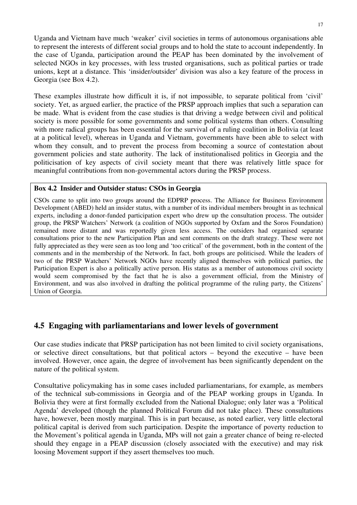Uganda and Vietnam have much 'weaker' civil societies in terms of autonomous organisations able to represent the interests of different social groups and to hold the state to account independently. In the case of Uganda, participation around the PEAP has been dominated by the involvement of selected NGOs in key processes, with less trusted organisations, such as political parties or trade unions, kept at a distance. This 'insider/outsider' division was also a key feature of the process in Georgia (see Box 4.2).

These examples illustrate how difficult it is, if not impossible, to separate political from 'civil' society. Yet, as argued earlier, the practice of the PRSP approach implies that such a separation can be made. What is evident from the case studies is that driving a wedge between civil and political society is more possible for some governments and some political systems than others. Consulting with more radical groups has been essential for the survival of a ruling coalition in Bolivia (at least at a political level), whereas in Uganda and Vietnam, governments have been able to select with whom they consult, and to prevent the process from becoming a source of contestation about government policies and state authority. The lack of institutionalised politics in Georgia and the politicisation of key aspects of civil society meant that there was relatively little space for meaningful contributions from non-governmental actors during the PRSP process.

#### **Box 4.2 Insider and Outsider status: CSOs in Georgia**

CSOs came to split into two groups around the EDPRP process. The Alliance for Business Environment Development (ABED) held an insider status, with a number of its individual members brought in as technical experts, including a donor-funded participation expert who drew up the consultation process. The outsider group, the PRSP Watchers' Network (a coalition of NGOs supported by Oxfam and the Soros Foundation) remained more distant and was reportedly given less access. The outsiders had organised separate consultations prior to the new Participation Plan and sent comments on the draft strategy. These were not fully appreciated as they were seen as too long and 'too critical' of the government, both in the content of the comments and in the membership of the Network. In fact, both groups are politicised. While the leaders of two of the PRSP Watchers' Network NGOs have recently aligned themselves with political parties, the Participation Expert is also a politically active person. His status as a member of autonomous civil society would seem compromised by the fact that he is also a government official, from the Ministry of Environment, and was also involved in drafting the political programme of the ruling party, the Citizens' Union of Georgia.

# **4.5 Engaging with parliamentarians and lower levels of government**

Our case studies indicate that PRSP participation has not been limited to civil society organisations, or selective direct consultations, but that political actors – beyond the executive – have been involved. However, once again, the degree of involvement has been significantly dependent on the nature of the political system.

Consultative policymaking has in some cases included parliamentarians, for example, as members of the technical sub-commissions in Georgia and of the PEAP working groups in Uganda. In Bolivia they were at first formally excluded from the National Dialogue; only later was a 'Political Agenda' developed (though the planned Political Forum did not take place). These consultations have, however, been mostly marginal. This is in part because, as noted earlier, very little electoral political capital is derived from such participation. Despite the importance of poverty reduction to the Movement's political agenda in Uganda, MPs will not gain a greater chance of being re-elected should they engage in a PEAP discussion (closely associated with the executive) and may risk loosing Movement support if they assert themselves too much.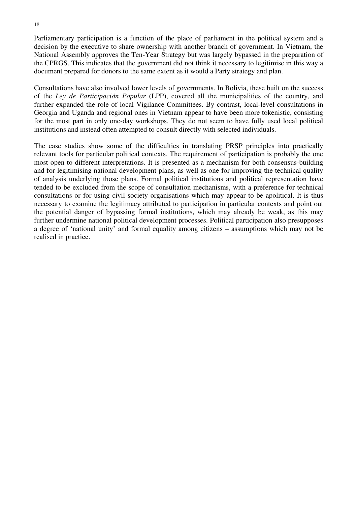Parliamentary participation is a function of the place of parliament in the political system and a decision by the executive to share ownership with another branch of government. In Vietnam, the National Assembly approves the Ten-Year Strategy but was largely bypassed in the preparation of the CPRGS. This indicates that the government did not think it necessary to legitimise in this way a document prepared for donors to the same extent as it would a Party strategy and plan.

Consultations have also involved lower levels of governments. In Bolivia, these built on the success of the *Ley de Participación Popular* (LPP), covered all the municipalities of the country, and further expanded the role of local Vigilance Committees. By contrast, local-level consultations in Georgia and Uganda and regional ones in Vietnam appear to have been more tokenistic, consisting for the most part in only one-day workshops. They do not seem to have fully used local political institutions and instead often attempted to consult directly with selected individuals.

The case studies show some of the difficulties in translating PRSP principles into practically relevant tools for particular political contexts. The requirement of participation is probably the one most open to different interpretations. It is presented as a mechanism for both consensus-building and for legitimising national development plans, as well as one for improving the technical quality of analysis underlying those plans. Formal political institutions and political representation have tended to be excluded from the scope of consultation mechanisms, with a preference for technical consultations or for using civil society organisations which may appear to be apolitical. It is thus necessary to examine the legitimacy attributed to participation in particular contexts and point out the potential danger of bypassing formal institutions, which may already be weak, as this may further undermine national political development processes. Political participation also presupposes a degree of 'national unity' and formal equality among citizens – assumptions which may not be realised in practice.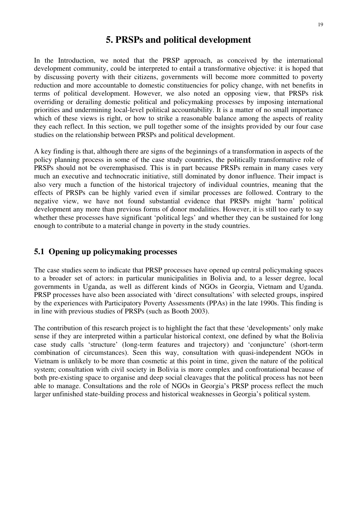# **5. PRSPs and political development**

In the Introduction, we noted that the PRSP approach, as conceived by the international development community, could be interpreted to entail a transformative objective: it is hoped that by discussing poverty with their citizens, governments will become more committed to poverty reduction and more accountable to domestic constituencies for policy change, with net benefits in terms of political development. However, we also noted an opposing view, that PRSPs risk overriding or derailing domestic political and policymaking processes by imposing international priorities and undermining local-level political accountability. It is a matter of no small importance which of these views is right, or how to strike a reasonable balance among the aspects of reality they each reflect. In this section, we pull together some of the insights provided by our four case studies on the relationship between PRSPs and political development.

A key finding is that, although there are signs of the beginnings of a transformation in aspects of the policy planning process in some of the case study countries, the politically transformative role of PRSPs should not be overemphasised. This is in part because PRSPs remain in many cases very much an executive and technocratic initiative, still dominated by donor influence. Their impact is also very much a function of the historical trajectory of individual countries, meaning that the effects of PRSPs can be highly varied even if similar processes are followed. Contrary to the negative view, we have not found substantial evidence that PRSPs might 'harm' political development any more than previous forms of donor modalities. However, it is still too early to say whether these processes have significant 'political legs' and whether they can be sustained for long enough to contribute to a material change in poverty in the study countries.

### **5.1 Opening up policymaking processes**

The case studies seem to indicate that PRSP processes have opened up central policymaking spaces to a broader set of actors: in particular municipalities in Bolivia and, to a lesser degree, local governments in Uganda, as well as different kinds of NGOs in Georgia, Vietnam and Uganda. PRSP processes have also been associated with 'direct consultations' with selected groups, inspired by the experiences with Participatory Poverty Assessments (PPAs) in the late 1990s. This finding is in line with previous studies of PRSPs (such as Booth 2003).

The contribution of this research project is to highlight the fact that these 'developments' only make sense if they are interpreted within a particular historical context, one defined by what the Bolivia case study calls 'structure' (long-term features and trajectory) and 'conjuncture' (short-term combination of circumstances). Seen this way, consultation with quasi-independent NGOs in Vietnam is unlikely to be more than cosmetic at this point in time, given the nature of the political system; consultation with civil society in Bolivia is more complex and confrontational because of both pre-existing space to organise and deep social cleavages that the political process has not been able to manage. Consultations and the role of NGOs in Georgia's PRSP process reflect the much larger unfinished state-building process and historical weaknesses in Georgia's political system.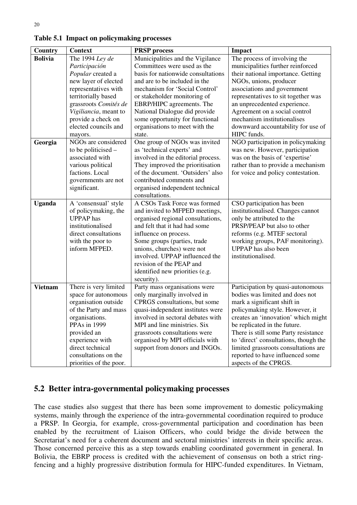| Country        | <b>Context</b>          | <b>PRSP</b> process                | <b>Impact</b>                         |
|----------------|-------------------------|------------------------------------|---------------------------------------|
| <b>Bolivia</b> | The 1994 Ley de         | Municipalities and the Vigilance   | The process of involving the          |
|                | Participación           | Committees were used as the        | municipalities further reinforced     |
|                | Popular created a       | basis for nationwide consultations | their national importance. Getting    |
|                | new layer of elected    | and are to be included in the      | NGOs, unions, producer                |
|                | representatives with    | mechanism for 'Social Control'     | associations and government           |
|                | territorially based     | or stakeholder monitoring of       | representatives to sit together was   |
|                | grassroots Comités de   | EBRP/HIPC agreements. The          | an unprecedented experience.          |
|                | Vigiliancia, meant to   | National Dialogue did provide      | Agreement on a social control         |
|                | provide a check on      | some opportunity for functional    | mechanism institutionalises           |
|                | elected councils and    | organisations to meet with the     | downward accountability for use of    |
|                | mayors.                 | state.                             | HIPC funds.                           |
| Georgia        | NGOs are considered     | One group of NGOs was invited      | NGO participation in policymaking     |
|                | to be politicised –     | as 'technical experts' and         | was new. However, participation       |
|                | associated with         | involved in the editorial process. | was on the basis of 'expertise'       |
|                | various political       | They improved the prioritisation   | rather than to provide a mechanism    |
|                | factions. Local         | of the document. 'Outsiders' also  | for voice and policy contestation.    |
|                | governments are not     | contributed comments and           |                                       |
|                | significant.            | organised independent technical    |                                       |
|                |                         | consultations.                     |                                       |
| <b>Uganda</b>  | A 'consensual' style    | A CSOs Task Force was formed       | CSO participation has been            |
|                | of policymaking, the    | and invited to MFPED meetings,     | institutionalised. Changes cannot     |
|                | <b>UPPAP</b> has        | organised regional consultations,  | only be attributed to the             |
|                | institutionalised       | and felt that it had had some      | PRSP/PEAP but also to other           |
|                | direct consultations    | influence on process.              | reforms (e.g. MTEF sectoral           |
|                | with the poor to        | Some groups (parties, trade        | working groups, PAF monitoring).      |
|                | inform MFPED.           | unions, churches) were not         | UPPAP has also been                   |
|                |                         | involved. UPPAP influenced the     | institutionalised.                    |
|                |                         | revision of the PEAP and           |                                       |
|                |                         | identified new priorities (e.g.    |                                       |
|                |                         | security).                         |                                       |
| <b>Vietnam</b> | There is very limited   | Party mass organisations were      | Participation by quasi-autonomous     |
|                | space for autonomous    | only marginally involved in        | bodies was limited and does not       |
|                | organisation outside    | CPRGS consultations, but some      | mark a significant shift in           |
|                | of the Party and mass   | quasi-independent institutes were  | policymaking style. However, it       |
|                | organisations.          | involved in sectoral debates with  | creates an 'innovation' which might   |
|                | PPAs in 1999            | MPI and line ministries. Six       | be replicated in the future.          |
|                | provided an             | grassroots consultations were      | There is still some Party resistance  |
|                | experience with         | organised by MPI officials with    | to 'direct' consultations, though the |
|                | direct technical        | support from donors and INGOs.     | limited grassroots consultations are  |
|                | consultations on the    |                                    | reported to have influenced some      |
|                | priorities of the poor. |                                    | aspects of the CPRGS.                 |

**Table 5.1 Impact on policymaking processes** 

## **5.2 Better intra-governmental policymaking processes**

The case studies also suggest that there has been some improvement to domestic policymaking systems, mainly through the experience of the intra-governmental coordination required to produce a PRSP. In Georgia, for example, cross-governmental participation and coordination has been enabled by the recruitment of Liaison Officers, who could bridge the divide between the Secretariat's need for a coherent document and sectoral ministries' interests in their specific areas. Those concerned perceive this as a step towards enabling coordinated government in general. In Bolivia, the EBRP process is credited with the achievement of consensus on both a strict ringfencing and a highly progressive distribution formula for HIPC-funded expenditures. In Vietnam,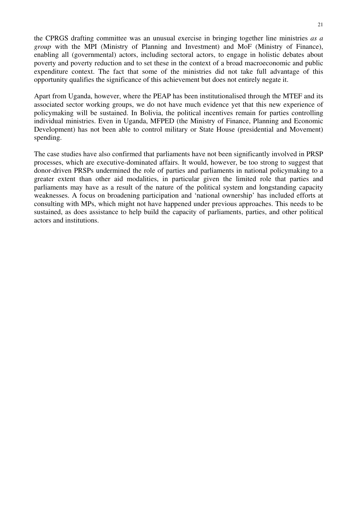the CPRGS drafting committee was an unusual exercise in bringing together line ministries *as a group* with the MPI (Ministry of Planning and Investment) and MoF (Ministry of Finance), enabling all (governmental) actors, including sectoral actors, to engage in holistic debates about poverty and poverty reduction and to set these in the context of a broad macroeconomic and public expenditure context. The fact that some of the ministries did not take full advantage of this opportunity qualifies the significance of this achievement but does not entirely negate it.

Apart from Uganda, however, where the PEAP has been institutionalised through the MTEF and its associated sector working groups, we do not have much evidence yet that this new experience of policymaking will be sustained. In Bolivia, the political incentives remain for parties controlling individual ministries. Even in Uganda, MFPED (the Ministry of Finance, Planning and Economic Development) has not been able to control military or State House (presidential and Movement) spending.

The case studies have also confirmed that parliaments have not been significantly involved in PRSP processes, which are executive-dominated affairs. It would, however, be too strong to suggest that donor-driven PRSPs undermined the role of parties and parliaments in national policymaking to a greater extent than other aid modalities, in particular given the limited role that parties and parliaments may have as a result of the nature of the political system and longstanding capacity weaknesses. A focus on broadening participation and 'national ownership' has included efforts at consulting with MPs, which might not have happened under previous approaches. This needs to be sustained, as does assistance to help build the capacity of parliaments, parties, and other political actors and institutions.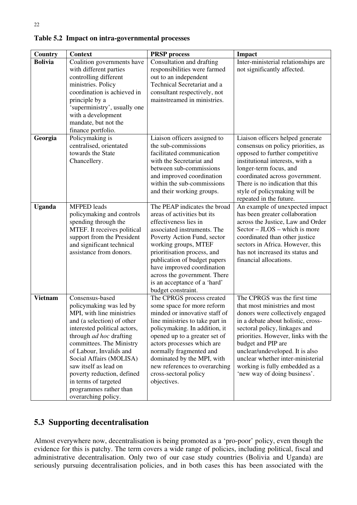| Country        | <b>Context</b>                 | <b>PRSP</b> process             | <b>Impact</b>                                        |
|----------------|--------------------------------|---------------------------------|------------------------------------------------------|
| <b>Bolivia</b> | Coalition governments have     | Consultation and drafting       | Inter-ministerial relationships are                  |
|                | with different parties         | responsibilities were farmed    | not significantly affected.                          |
|                | controlling different          | out to an independent           |                                                      |
|                | ministries. Policy             | Technical Secretariat and a     |                                                      |
|                | coordination is achieved in    | consultant respectively, not    |                                                      |
|                | principle by a                 | mainstreamed in ministries.     |                                                      |
|                | 'superministry', usually one   |                                 |                                                      |
|                | with a development             |                                 |                                                      |
|                | mandate, but not the           |                                 |                                                      |
|                | finance portfolio.             |                                 |                                                      |
| Georgia        | Policymaking is                | Liaison officers assigned to    | Liaison officers helped generate                     |
|                | centralised, orientated        | the sub-commissions             | consensus on policy priorities, as                   |
|                | towards the State              | facilitated communication       | opposed to further competitive                       |
|                | Chancellery.                   | with the Secretariat and        | institutional interests, with a                      |
|                |                                | between sub-commissions         | longer-term focus, and                               |
|                |                                | and improved coordination       | coordinated across government.                       |
|                |                                | within the sub-commissions      | There is no indication that this                     |
|                |                                | and their working groups.       | style of policymaking will be                        |
|                |                                |                                 | repeated in the future.                              |
| Uganda         | <b>MFPED</b> leads             | The PEAP indicates the broad    | An example of unexpected impact                      |
|                | policymaking and controls      | areas of activities but its     | has been greater collaboration                       |
|                | spending through the           | effectiveness lies in           | across the Justice, Law and Order                    |
|                | MTEF. It receives political    | associated instruments. The     | $\text{Sector} - \text{JLOS} - \text{which is more}$ |
|                | support from the President     | Poverty Action Fund, sector     | coordinated than other justice                       |
|                | and significant technical      | working groups, MTEF            | sectors in Africa. However, this                     |
|                | assistance from donors.        | prioritisation process, and     | has not increased its status and                     |
|                |                                | publication of budget papers    | financial allocations.                               |
|                |                                | have improved coordination      |                                                      |
|                |                                | across the government. There    |                                                      |
|                |                                | is an acceptance of a 'hard'    |                                                      |
|                |                                | budget constraint.              |                                                      |
| <b>Vietnam</b> | Consensus-based                | The CPRGS process created       | The CPRGS was the first time                         |
|                | policymaking was led by        | some space for more reform      | that most ministries and most                        |
|                | MPI, with line ministries      | minded or innovative staff of   | donors were collectively engaged                     |
|                | and (a selection) of other     | line ministries to take part in | in a debate about holistic, cross-                   |
|                | interested political actors,   | policymaking. In addition, it   | sectoral policy, linkages and                        |
|                | through <i>ad hoc</i> drafting | opened up to a greater set of   | priorities. However, links with the                  |
|                | committees. The Ministry       | actors processes which are      | budget and PIP are                                   |
|                | of Labour, Invalids and        | normally fragmented and         | unclear/undeveloped. It is also                      |
|                | Social Affairs (MOLISA)        | dominated by the MPI, with      | unclear whether inter-ministerial                    |
|                | saw itself as lead on          | new references to overarching   | working is fully embedded as a                       |
|                | poverty reduction, defined     | cross-sectoral policy           | 'new way of doing business'.                         |
|                | in terms of targeted           | objectives.                     |                                                      |
|                | programmes rather than         |                                 |                                                      |
|                | overarching policy.            |                                 |                                                      |

**Table 5.2 Impact on intra-governmental processes** 

# **5.3 Supporting decentralisation**

Almost everywhere now, decentralisation is being promoted as a 'pro-poor' policy, even though the evidence for this is patchy. The term covers a wide range of policies, including political, fiscal and administrative decentralisation. Only two of our case study countries (Bolivia and Uganda) are seriously pursuing decentralisation policies, and in both cases this has been associated with the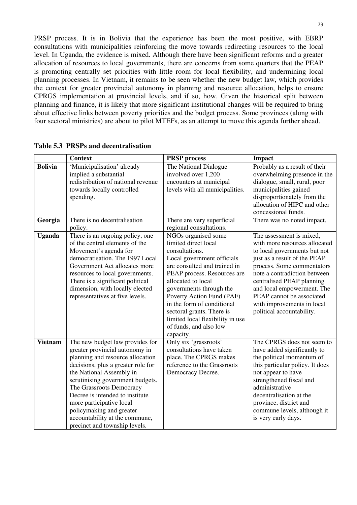PRSP process. It is in Bolivia that the experience has been the most positive, with EBRP consultations with municipalities reinforcing the move towards redirecting resources to the local level. In Uganda, the evidence is mixed. Although there have been significant reforms and a greater allocation of resources to local governments, there are concerns from some quarters that the PEAP is promoting centrally set priorities with little room for local flexibility, and undermining local planning processes. In Vietnam, it remains to be seen whether the new budget law, which provides the context for greater provincial autonomy in planning and resource allocation, helps to ensure CPRGS implementation at provincial levels, and if so, how. Given the historical split between planning and finance, it is likely that more significant institutional changes will be required to bring about effective links between poverty priorities and the budget process. Some provinces (along with four sectoral ministries) are about to pilot MTEFs, as an attempt to move this agenda further ahead.

|                | <b>Context</b>                                                                                                                                                                                                                                                                                                                                                                                        | <b>PRSP</b> process                                                                                                                                                                                                                                                                                                                                                            | <b>Impact</b>                                                                                                                                                                                                                                                                                                                              |
|----------------|-------------------------------------------------------------------------------------------------------------------------------------------------------------------------------------------------------------------------------------------------------------------------------------------------------------------------------------------------------------------------------------------------------|--------------------------------------------------------------------------------------------------------------------------------------------------------------------------------------------------------------------------------------------------------------------------------------------------------------------------------------------------------------------------------|--------------------------------------------------------------------------------------------------------------------------------------------------------------------------------------------------------------------------------------------------------------------------------------------------------------------------------------------|
| <b>Bolivia</b> | 'Municipalisation' already<br>implied a substantial<br>redistribution of national revenue<br>towards locally controlled<br>spending.                                                                                                                                                                                                                                                                  | The National Dialogue<br>involved over 1,200<br>encounters at municipal<br>levels with all municipalities.                                                                                                                                                                                                                                                                     | Probably as a result of their<br>overwhelming presence in the<br>dialogue, small, rural, poor<br>municipalities gained<br>disproportionately from the<br>allocation of HIPC and other<br>concessional funds.                                                                                                                               |
| Georgia        | There is no decentralisation<br>policy.                                                                                                                                                                                                                                                                                                                                                               | There are very superficial<br>regional consultations.                                                                                                                                                                                                                                                                                                                          | There was no noted impact.                                                                                                                                                                                                                                                                                                                 |
| <b>Uganda</b>  | There is an ongoing policy, one<br>of the central elements of the<br>Movement's agenda for<br>democratisation. The 1997 Local<br>Government Act allocates more<br>resources to local governments.<br>There is a significant political<br>dimension, with locally elected<br>representatives at five levels.                                                                                           | NGOs organised some<br>limited direct local<br>consultations.<br>Local government officials<br>are consulted and trained in<br>PEAP process. Resources are<br>allocated to local<br>governments through the<br>Poverty Action Fund (PAF)<br>in the form of conditional<br>sectoral grants. There is<br>limited local flexibility in use<br>of funds, and also low<br>capacity. | The assessment is mixed,<br>with more resources allocated<br>to local governments but not<br>just as a result of the PEAP<br>process. Some commentators<br>note a contradiction between<br>centralised PEAP planning<br>and local empowerment. The<br>PEAP cannot be associated<br>with improvements in local<br>political accountability. |
| <b>Vietnam</b> | The new budget law provides for<br>greater provincial autonomy in<br>planning and resource allocation<br>decisions, plus a greater role for<br>the National Assembly in<br>scrutinising government budgets.<br>The Grassroots Democracy<br>Decree is intended to institute<br>more participative local<br>policymaking and greater<br>accountability at the commune,<br>precinct and township levels. | Only six 'grassroots'<br>consultations have taken<br>place. The CPRGS makes<br>reference to the Grassroots<br>Democracy Decree.                                                                                                                                                                                                                                                | The CPRGS does not seem to<br>have added significantly to<br>the political momentum of<br>this particular policy. It does<br>not appear to have<br>strengthened fiscal and<br>administrative<br>decentralisation at the<br>province, district and<br>commune levels, although it<br>is very early days.                                    |

**Table 5.3 PRSPs and decentralisation**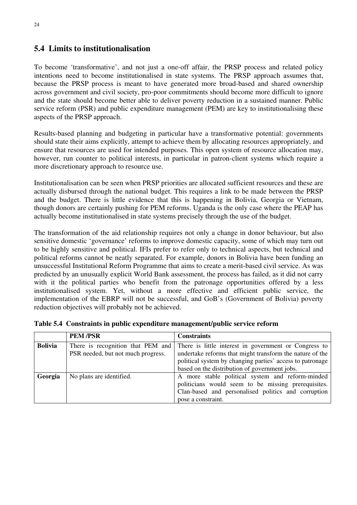# **5.4 Limits to institutionalisation**

To become 'transformative', and not just a one-off affair, the PRSP process and related policy intentions need to become institutionalised in state systems. The PRSP approach assumes that, because the PRSP process is meant to have generated more broad-based and shared ownership across government and civil society, pro-poor commitments should become more difficult to ignore and the state should become better able to deliver poverty reduction in a sustained manner. Public service reform (PSR) and public expenditure management (PEM) are key to institutionalising these aspects of the PRSP approach.

Results-based planning and budgeting in particular have a transformative potential: governments should state their aims explicitly, attempt to achieve them by allocating resources appropriately, and ensure that resources are used for intended purposes. This open system of resource allocation may, however, run counter to political interests, in particular in patron-client systems which require a more discretionary approach to resource use.

Institutionalisation can be seen when PRSP priorities are allocated sufficient resources and these are actually disbursed through the national budget. This requires a link to be made between the PRSP and the budget. There is little evidence that this is happening in Bolivia, Georgia or Vietnam, though donors are certainly pushing for PEM reforms. Uganda is the only case where the PEAP has actually become institutionalised in state systems precisely through the use of the budget.

The transformation of the aid relationship requires not only a change in donor behaviour, but also sensitive domestic 'governance' reforms to improve domestic capacity, some of which may turn out to be highly sensitive and political. IFIs prefer to refer only to technical aspects, but technical and political reforms cannot be neatly separated. For example, donors in Bolivia have been funding an unsuccessful Institutional Reform Programme that aims to create a merit-based civil service. As was predicted by an unusually explicit World Bank assessment, the process has failed, as it did not carry with it the political parties who benefit from the patronage opportunities offered by a less institutionalised system. Yet, without a more effective and efficient public service, the implementation of the EBRP will not be successful, and GoB's (Government of Bolivia) poverty reduction objectives will probably not be achieved.

|                | <b>PEM/PSR</b>                     | <b>Constraints</b>                                        |
|----------------|------------------------------------|-----------------------------------------------------------|
| <b>Bolivia</b> | There is recognition that PEM and  | There is little interest in government or Congress to     |
|                | PSR needed, but not much progress. | undertake reforms that might transform the nature of the  |
|                |                                    | political system by changing parties' access to patronage |
|                |                                    | based on the distribution of government jobs.             |
| Georgia        | No plans are identified.           | A more stable political system and reform-minded          |
|                |                                    | politicians would seem to be missing prerequisites.       |
|                |                                    | Clan-based and personalised politics and corruption       |
|                |                                    | pose a constraint.                                        |

|  |  |  | Table 5.4 Constraints in public expenditure management/public service reform |
|--|--|--|------------------------------------------------------------------------------|
|  |  |  |                                                                              |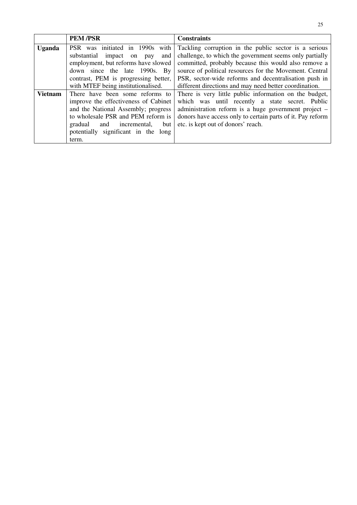|                | <b>PEM/PSR</b>                         | <b>Constraints</b>                                         |  |  |
|----------------|----------------------------------------|------------------------------------------------------------|--|--|
| <b>Uganda</b>  | PSR was initiated in 1990s with        | Tackling corruption in the public sector is a serious      |  |  |
|                | substantial<br>impact on<br>and<br>pay | challenge, to which the government seems only partially    |  |  |
|                | employment, but reforms have slowed    | committed, probably because this would also remove a       |  |  |
|                | down since the late 1990s. By          | source of political resources for the Movement. Central    |  |  |
|                | contrast, PEM is progressing better,   | PSR, sector-wide reforms and decentralisation push in      |  |  |
|                | with MTEF being institutionalised.     | different directions and may need better coordination.     |  |  |
| <b>Vietnam</b> | There have been some reforms to        | There is very little public information on the budget,     |  |  |
|                | improve the effectiveness of Cabinet   | which was until recently a state secret. Public            |  |  |
|                | and the National Assembly; progress    | administration reform is a huge government project –       |  |  |
|                | to wholesale PSR and PEM reform is     | donors have access only to certain parts of it. Pay reform |  |  |
|                | gradual<br>and incremental,<br>but     | etc. is kept out of donors' reach.                         |  |  |
|                | potentially significant in the long    |                                                            |  |  |
|                | term.                                  |                                                            |  |  |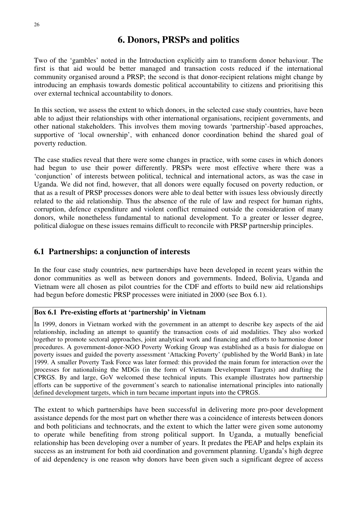# **6. Donors, PRSPs and politics**

Two of the 'gambles' noted in the Introduction explicitly aim to transform donor behaviour. The first is that aid would be better managed and transaction costs reduced if the international community organised around a PRSP; the second is that donor-recipient relations might change by introducing an emphasis towards domestic political accountability to citizens and prioritising this over external technical accountability to donors.

In this section, we assess the extent to which donors, in the selected case study countries, have been able to adjust their relationships with other international organisations, recipient governments, and other national stakeholders. This involves them moving towards 'partnership'-based approaches, supportive of 'local ownership', with enhanced donor coordination behind the shared goal of poverty reduction.

The case studies reveal that there were some changes in practice, with some cases in which donors had begun to use their power differently. PRSPs were most effective where there was a 'conjunction' of interests between political, technical and international actors, as was the case in Uganda. We did not find, however, that all donors were equally focused on poverty reduction, or that as a result of PRSP processes donors were able to deal better with issues less obviously directly related to the aid relationship. Thus the absence of the rule of law and respect for human rights, corruption, defence expenditure and violent conflict remained outside the consideration of many donors, while nonetheless fundamental to national development. To a greater or lesser degree, political dialogue on these issues remains difficult to reconcile with PRSP partnership principles.

## **6.1 Partnerships: a conjunction of interests**

In the four case study countries, new partnerships have been developed in recent years within the donor communities as well as between donors and governments. Indeed, Bolivia, Uganda and Vietnam were all chosen as pilot countries for the CDF and efforts to build new aid relationships had begun before domestic PRSP processes were initiated in 2000 (see Box 6.1).

#### **Box 6.1 Pre-existing efforts at 'partnership' in Vietnam**

In 1999, donors in Vietnam worked with the government in an attempt to describe key aspects of the aid relationship, including an attempt to quantify the transaction costs of aid modalities. They also worked together to promote sectoral approaches, joint analytical work and financing and efforts to harmonise donor procedures. A government-donor-NGO Poverty Working Group was established as a basis for dialogue on poverty issues and guided the poverty assessment 'Attacking Poverty' (published by the World Bank) in late 1999. A smaller Poverty Task Force was later formed: this provided the main forum for interaction over the processes for nationalising the MDGs (in the form of Vietnam Development Targets) and drafting the CPRGS. By and large, GoV welcomed these technical inputs. This example illustrates how partnership efforts can be supportive of the government's search to nationalise international principles into nationally defined development targets, which in turn became important inputs into the CPRGS.

The extent to which partnerships have been successful in delivering more pro-poor development assistance depends for the most part on whether there was a coincidence of interests between donors and both politicians and technocrats, and the extent to which the latter were given some autonomy to operate while benefiting from strong political support. In Uganda, a mutually beneficial relationship has been developing over a number of years. It predates the PEAP and helps explain its success as an instrument for both aid coordination and government planning. Uganda's high degree of aid dependency is one reason why donors have been given such a significant degree of access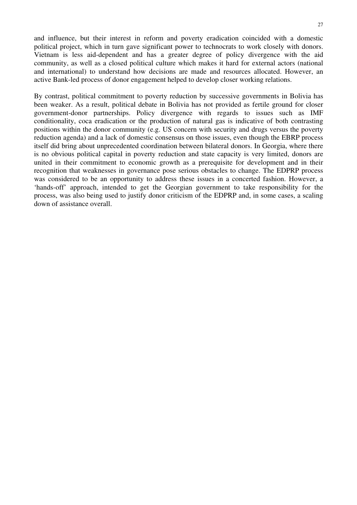and influence, but their interest in reform and poverty eradication coincided with a domestic political project, which in turn gave significant power to technocrats to work closely with donors. Vietnam is less aid-dependent and has a greater degree of policy divergence with the aid community, as well as a closed political culture which makes it hard for external actors (national and international) to understand how decisions are made and resources allocated. However, an active Bank-led process of donor engagement helped to develop closer working relations.

By contrast, political commitment to poverty reduction by successive governments in Bolivia has been weaker. As a result, political debate in Bolivia has not provided as fertile ground for closer government-donor partnerships. Policy divergence with regards to issues such as IMF conditionality, coca eradication or the production of natural gas is indicative of both contrasting positions within the donor community (e.g. US concern with security and drugs versus the poverty reduction agenda) and a lack of domestic consensus on those issues, even though the EBRP process itself did bring about unprecedented coordination between bilateral donors. In Georgia, where there is no obvious political capital in poverty reduction and state capacity is very limited, donors are united in their commitment to economic growth as a prerequisite for development and in their recognition that weaknesses in governance pose serious obstacles to change. The EDPRP process was considered to be an opportunity to address these issues in a concerted fashion. However, a 'hands-off' approach, intended to get the Georgian government to take responsibility for the process, was also being used to justify donor criticism of the EDPRP and, in some cases, a scaling down of assistance overall.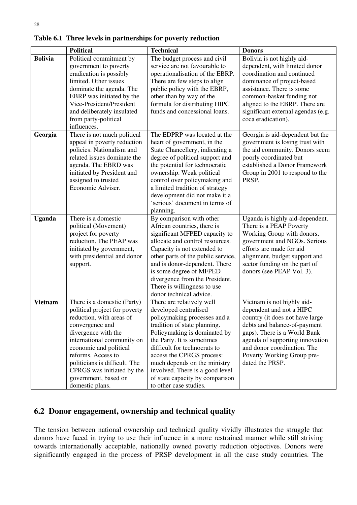|  | Table 6.1 Three levels in partnerships for poverty reduction |  |  |  |
|--|--------------------------------------------------------------|--|--|--|
|--|--------------------------------------------------------------|--|--|--|

|                | <b>Political</b>                                                                                                                                                                                                                                                                                                           | <b>Technical</b>                                                                                                                                                                                                                                                                                                                                                              | <b>Donors</b>                                                                                                                                                                                                                                                                   |
|----------------|----------------------------------------------------------------------------------------------------------------------------------------------------------------------------------------------------------------------------------------------------------------------------------------------------------------------------|-------------------------------------------------------------------------------------------------------------------------------------------------------------------------------------------------------------------------------------------------------------------------------------------------------------------------------------------------------------------------------|---------------------------------------------------------------------------------------------------------------------------------------------------------------------------------------------------------------------------------------------------------------------------------|
| <b>Bolivia</b> | Political commitment by<br>government to poverty<br>eradication is possibly<br>limited. Other issues<br>dominate the agenda. The<br>EBRP was initiated by the<br>Vice-President/President<br>and deliberately insulated<br>from party-political<br>influences.                                                             | The budget process and civil<br>service are not favourable to<br>operationalisation of the EBRP.<br>There are few steps to align<br>public policy with the EBRP,<br>other than by way of the<br>formula for distributing HIPC<br>funds and concessional loans.                                                                                                                | Bolivia is not highly aid-<br>dependent, with limited donor<br>coordination and continued<br>dominance of project-based<br>assistance. There is some<br>common-basket funding not<br>aligned to the EBRP. There are<br>significant external agendas (e.g.<br>coca eradication). |
| Georgia        | There is not much political<br>appeal in poverty reduction<br>policies. Nationalism and<br>related issues dominate the<br>agenda. The EBRD was<br>initiated by President and<br>assigned to trusted<br>Economic Adviser.                                                                                                   | The EDPRP was located at the<br>heart of government, in the<br>State Chancellery, indicating a<br>degree of political support and<br>the potential for technocratic<br>ownership. Weak political<br>control over policymaking and<br>a limited tradition of strategy<br>development did not make it a<br>'serious' document in terms of<br>planning.                          | Georgia is aid-dependent but the<br>government is losing trust with<br>the aid community. Donors seem<br>poorly coordinated but<br>established a Donor Framework<br>Group in 2001 to respond to the<br>PRSP.                                                                    |
| <b>Uganda</b>  | There is a domestic<br>political (Movement)<br>project for poverty<br>reduction. The PEAP was<br>initiated by government,<br>with presidential and donor<br>support.                                                                                                                                                       | By comparison with other<br>African countries, there is<br>significant MFPED capacity to<br>allocate and control resources.<br>Capacity is not extended to<br>other parts of the public service,<br>and is donor-dependent. There<br>is some degree of MFPED<br>divergence from the President.<br>There is willingness to use<br>donor technical advice.                      | Uganda is highly aid-dependent.<br>There is a PEAP Poverty<br>Working Group with donors,<br>government and NGOs. Serious<br>efforts are made for aid<br>alignment, budget support and<br>sector funding on the part of<br>donors (see PEAP Vol. 3).                             |
| <b>Vietnam</b> | There is a domestic (Party)<br>political project for poverty<br>reduction, with areas of<br>convergence and<br>divergence with the<br>international community on<br>economic and political<br>reforms. Access to<br>politicians is difficult. The<br>CPRGS was initiated by the<br>government, based on<br>domestic plans. | There are relatively well<br>developed centralised<br>policymaking processes and a<br>tradition of state planning.<br>Policymaking is dominated by<br>the Party. It is sometimes<br>difficult for technocrats to<br>access the CPRGS process:<br>much depends on the ministry<br>involved. There is a good level<br>of state capacity by comparison<br>to other case studies. | Vietnam is not highly aid-<br>dependent and not a HIPC<br>country (it does not have large<br>debts and balance-of-payment<br>gaps). There is a World Bank<br>agenda of supporting innovation<br>and donor coordination. The<br>Poverty Working Group pre-<br>dated the PRSP.    |

# **6.2 Donor engagement, ownership and technical quality**

The tension between national ownership and technical quality vividly illustrates the struggle that donors have faced in trying to use their influence in a more restrained manner while still striving towards internationally acceptable, nationally owned poverty reduction objectives. Donors were significantly engaged in the process of PRSP development in all the case study countries. The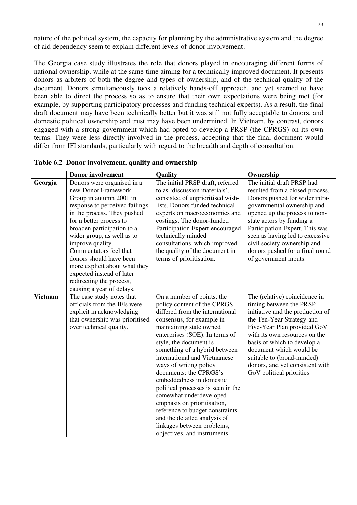nature of the political system, the capacity for planning by the administrative system and the degree of aid dependency seem to explain different levels of donor involvement.

The Georgia case study illustrates the role that donors played in encouraging different forms of national ownership, while at the same time aiming for a technically improved document. It presents donors as arbiters of both the degree and types of ownership, and of the technical quality of the document. Donors simultaneously took a relatively hands-off approach, and yet seemed to have been able to direct the process so as to ensure that their own expectations were being met (for example, by supporting participatory processes and funding technical experts). As a result, the final draft document may have been technically better but it was still not fully acceptable to donors, and domestic political ownership and trust may have been undermined. In Vietnam, by contrast, donors engaged with a strong government which had opted to develop a PRSP (the CPRGS) on its own terms. They were less directly involved in the process, accepting that the final document would differ from IFI standards, particularly with regard to the breadth and depth of consultation.

|                | <b>Donor</b> involvement       | Quality                            | Ownership                        |
|----------------|--------------------------------|------------------------------------|----------------------------------|
| Georgia        | Donors were organised in a     | The initial PRSP draft, referred   | The initial draft PRSP had       |
|                | new Donor Framework            | to as 'discussion materials',      | resulted from a closed process.  |
|                | Group in autumn 2001 in        | consisted of unprioritised wish-   | Donors pushed for wider intra-   |
|                | response to perceived failings | lists. Donors funded technical     | governmental ownership and       |
|                | in the process. They pushed    | experts on macroeconomics and      | opened up the process to non-    |
|                | for a better process to        | costings. The donor-funded         | state actors by funding a        |
|                | broaden participation to a     | Participation Expert encouraged    | Participation Expert. This was   |
|                | wider group, as well as to     | technically minded                 | seen as having led to excessive  |
|                | improve quality.               | consultations, which improved      | civil society ownership and      |
|                | Commentators feel that         | the quality of the document in     | donors pushed for a final round  |
|                | donors should have been        | terms of prioritisation.           | of government inputs.            |
|                | more explicit about what they  |                                    |                                  |
|                | expected instead of later      |                                    |                                  |
|                | redirecting the process,       |                                    |                                  |
|                | causing a year of delays.      |                                    |                                  |
| <b>Vietnam</b> | The case study notes that      | On a number of points, the         | The (relative) coincidence in    |
|                | officials from the IFIs were   | policy content of the CPRGS        | timing between the PRSP          |
|                | explicit in acknowledging      | differed from the international    | initiative and the production of |
|                | that ownership was prioritised | consensus, for example in          | the Ten-Year Strategy and        |
|                | over technical quality.        | maintaining state owned            | Five-Year Plan provided GoV      |
|                |                                | enterprises (SOE). In terms of     | with its own resources on the    |
|                |                                | style, the document is             | basis of which to develop a      |
|                |                                | something of a hybrid between      | document which would be          |
|                |                                | international and Vietnamese       | suitable to (broad-minded)       |
|                |                                | ways of writing policy             | donors, and yet consistent with  |
|                |                                | documents: the CPRGS's             | GoV political priorities         |
|                |                                | embeddedness in domestic           |                                  |
|                |                                | political processes is seen in the |                                  |
|                |                                | somewhat underdeveloped            |                                  |
|                |                                | emphasis on prioritisation,        |                                  |
|                |                                | reference to budget constraints,   |                                  |
|                |                                | and the detailed analysis of       |                                  |
|                |                                | linkages between problems,         |                                  |
|                |                                | objectives, and instruments.       |                                  |

**Table 6.2 Donor involvement, quality and ownership**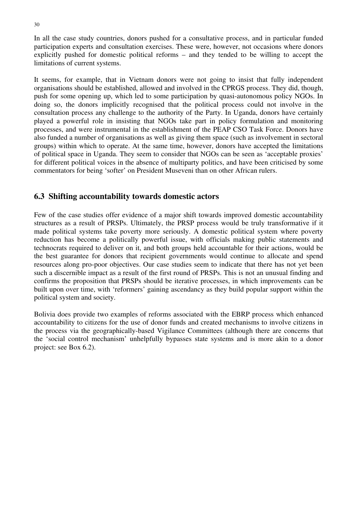In all the case study countries, donors pushed for a consultative process, and in particular funded participation experts and consultation exercises. These were, however, not occasions where donors explicitly pushed for domestic political reforms – and they tended to be willing to accept the limitations of current systems.

It seems, for example, that in Vietnam donors were not going to insist that fully independent organisations should be established, allowed and involved in the CPRGS process. They did, though, push for some opening up, which led to some participation by quasi-autonomous policy NGOs. In doing so, the donors implicitly recognised that the political process could not involve in the consultation process any challenge to the authority of the Party. In Uganda, donors have certainly played a powerful role in insisting that NGOs take part in policy formulation and monitoring processes, and were instrumental in the establishment of the PEAP CSO Task Force. Donors have also funded a number of organisations as well as giving them space (such as involvement in sectoral groups) within which to operate. At the same time, however, donors have accepted the limitations of political space in Uganda. They seem to consider that NGOs can be seen as 'acceptable proxies' for different political voices in the absence of multiparty politics, and have been criticised by some commentators for being 'softer' on President Museveni than on other African rulers.

### **6.3 Shifting accountability towards domestic actors**

Few of the case studies offer evidence of a major shift towards improved domestic accountability structures as a result of PRSPs. Ultimately, the PRSP process would be truly transformative if it made political systems take poverty more seriously. A domestic political system where poverty reduction has become a politically powerful issue, with officials making public statements and technocrats required to deliver on it, and both groups held accountable for their actions, would be the best guarantee for donors that recipient governments would continue to allocate and spend resources along pro-poor objectives. Our case studies seem to indicate that there has not yet been such a discernible impact as a result of the first round of PRSPs. This is not an unusual finding and confirms the proposition that PRSPs should be iterative processes, in which improvements can be built upon over time, with 'reformers' gaining ascendancy as they build popular support within the political system and society.

Bolivia does provide two examples of reforms associated with the EBRP process which enhanced accountability to citizens for the use of donor funds and created mechanisms to involve citizens in the process via the geographically-based Vigilance Committees (although there are concerns that the 'social control mechanism' unhelpfully bypasses state systems and is more akin to a donor project: see Box 6.2).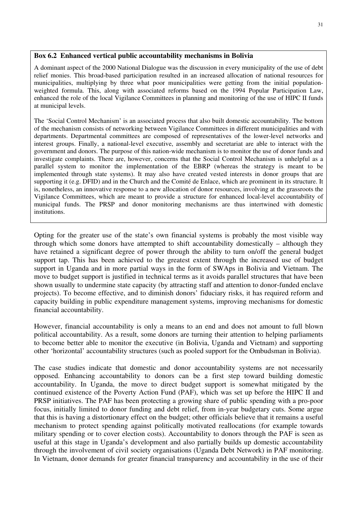#### **Box 6.2 Enhanced vertical public accountability mechanisms in Bolivia**

A dominant aspect of the 2000 National Dialogue was the discussion in every municipality of the use of debt relief monies. This broad-based participation resulted in an increased allocation of national resources for municipalities, multiplying by three what poor municipalities were getting from the initial populationweighted formula. This, along with associated reforms based on the 1994 Popular Participation Law, enhanced the role of the local Vigilance Committees in planning and monitoring of the use of HIPC II funds at municipal levels.

The 'Social Control Mechanism' is an associated process that also built domestic accountability. The bottom of the mechanism consists of networking between Vigilance Committees in different municipalities and with departments. Departmental committees are composed of representatives of the lower-level networks and interest groups. Finally, a national-level executive, assembly and secretariat are able to interact with the government and donors. The purpose of this nation-wide mechanism is to monitor the use of donor funds and investigate complaints. There are, however, concerns that the Social Control Mechanism is unhelpful as a parallel system to monitor the implementation of the EBRP (whereas the strategy is meant to be implemented through state systems). It may also have created vested interests in donor groups that are supporting it (e.g. DFID) and in the Church and the Comité de Enlace, which are prominent in its structure. It is, nonetheless, an innovative response to a new allocation of donor resources, involving at the grassroots the Vigilance Committees, which are meant to provide a structure for enhanced local-level accountability of municipal funds. The PRSP and donor monitoring mechanisms are thus intertwined with domestic institutions.

Opting for the greater use of the state's own financial systems is probably the most visible way through which some donors have attempted to shift accountability domestically – although they have retained a significant degree of power through the ability to turn on/off the general budget support tap. This has been achieved to the greatest extent through the increased use of budget support in Uganda and in more partial ways in the form of SWAps in Bolivia and Vietnam. The move to budget support is justified in technical terms as it avoids parallel structures that have been shown usually to undermine state capacity (by attracting staff and attention to donor-funded enclave projects). To become effective, and to diminish donors' fiduciary risks, it has required reform and capacity building in public expenditure management systems, improving mechanisms for domestic financial accountability.

However, financial accountability is only a means to an end and does not amount to full blown political accountability. As a result, some donors are turning their attention to helping parliaments to become better able to monitor the executive (in Bolivia, Uganda and Vietnam) and supporting other 'horizontal' accountability structures (such as pooled support for the Ombudsman in Bolivia).

The case studies indicate that domestic and donor accountability systems are not necessarily opposed. Enhancing accountability to donors can be a first step toward building domestic accountability. In Uganda, the move to direct budget support is somewhat mitigated by the continued existence of the Poverty Action Fund (PAF), which was set up before the HIPC II and PRSP initiatives. The PAF has been protecting a growing share of public spending with a pro-poor focus, initially limited to donor funding and debt relief, from in-year budgetary cuts. Some argue that this is having a distortionary effect on the budget; other officials believe that it remains a useful mechanism to protect spending against politically motivated reallocations (for example towards military spending or to cover election costs). Accountability to donors through the PAF is seen as useful at this stage in Uganda's development and also partially builds up domestic accountability through the involvement of civil society organisations (Uganda Debt Network) in PAF monitoring. In Vietnam, donor demands for greater financial transparency and accountability in the use of their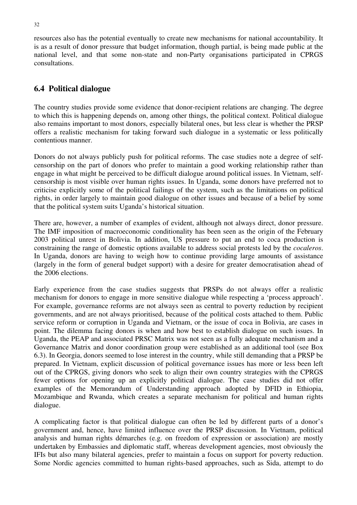resources also has the potential eventually to create new mechanisms for national accountability. It is as a result of donor pressure that budget information, though partial, is being made public at the national level, and that some non-state and non-Party organisations participated in CPRGS consultations.

# **6.4 Political dialogue**

The country studies provide some evidence that donor-recipient relations are changing. The degree to which this is happening depends on, among other things, the political context. Political dialogue also remains important to most donors, especially bilateral ones, but less clear is whether the PRSP offers a realistic mechanism for taking forward such dialogue in a systematic or less politically contentious manner.

Donors do not always publicly push for political reforms. The case studies note a degree of selfcensorship on the part of donors who prefer to maintain a good working relationship rather than engage in what might be perceived to be difficult dialogue around political issues. In Vietnam, selfcensorship is most visible over human rights issues. In Uganda, some donors have preferred not to criticise explicitly some of the political failings of the system, such as the limitations on political rights, in order largely to maintain good dialogue on other issues and because of a belief by some that the political system suits Uganda's historical situation.

There are, however, a number of examples of evident, although not always direct, donor pressure. The IMF imposition of macroeconomic conditionality has been seen as the origin of the February 2003 political unrest in Bolivia. In addition, US pressure to put an end to coca production is constraining the range of domestic options available to address social protests led by the *cocaleros*. In Uganda, donors are having to weigh how to continue providing large amounts of assistance (largely in the form of general budget support) with a desire for greater democratisation ahead of the 2006 elections.

Early experience from the case studies suggests that PRSPs do not always offer a realistic mechanism for donors to engage in more sensitive dialogue while respecting a 'process approach'. For example, governance reforms are not always seen as central to poverty reduction by recipient governments, and are not always prioritised, because of the political costs attached to them. Public service reform or corruption in Uganda and Vietnam, or the issue of coca in Bolivia, are cases in point. The dilemma facing donors is when and how best to establish dialogue on such issues. In Uganda, the PEAP and associated PRSC Matrix was not seen as a fully adequate mechanism and a Governance Matrix and donor coordination group were established as an additional tool (see Box 6.3). In Georgia, donors seemed to lose interest in the country, while still demanding that a PRSP be prepared. In Vietnam, explicit discussion of political governance issues has more or less been left out of the CPRGS, giving donors who seek to align their own country strategies with the CPRGS fewer options for opening up an explicitly political dialogue. The case studies did not offer examples of the Memorandum of Understanding approach adopted by DFID in Ethiopia, Mozambique and Rwanda, which creates a separate mechanism for political and human rights dialogue.

A complicating factor is that political dialogue can often be led by different parts of a donor's government and, hence, have limited influence over the PRSP discussion. In Vietnam, political analysis and human rights démarches (e.g. on freedom of expression or association) are mostly undertaken by Embassies and diplomatic staff, whereas development agencies, most obviously the IFIs but also many bilateral agencies, prefer to maintain a focus on support for poverty reduction. Some Nordic agencies committed to human rights-based approaches, such as Sida, attempt to do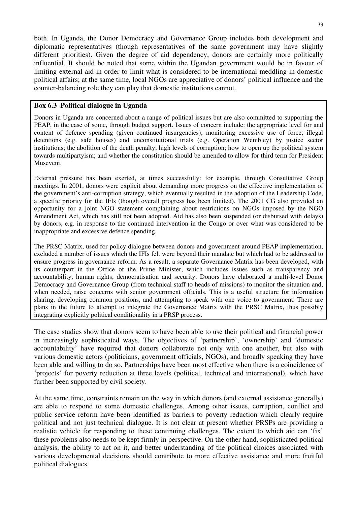both. In Uganda, the Donor Democracy and Governance Group includes both development and diplomatic representatives (though representatives of the same government may have slightly different priorities). Given the degree of aid dependency, donors are certainly more politically influential. It should be noted that some within the Ugandan government would be in favour of limiting external aid in order to limit what is considered to be international meddling in domestic political affairs; at the same time, local NGOs are appreciative of donors' political influence and the counter-balancing role they can play that domestic institutions cannot.

#### **Box 6.3 Political dialogue in Uganda**

Donors in Uganda are concerned about a range of political issues but are also committed to supporting the PEAP, in the case of some, through budget support. Issues of concern include: the appropriate level for and content of defence spending (given continued insurgencies); monitoring excessive use of force; illegal detentions (e.g. safe houses) and unconstitutional trials (e.g. Operation Wembley) by justice sector institutions; the abolition of the death penalty; high levels of corruption; how to open up the political system towards multipartyism; and whether the constitution should be amended to allow for third term for President Museveni.

External pressure has been exerted, at times successfully: for example, through Consultative Group meetings. In 2001, donors were explicit about demanding more progress on the effective implementation of the government's anti-corruption strategy, which eventually resulted in the adoption of the Leadership Code, a specific priority for the IFIs (though overall progress has been limited). The 2001 CG also provided an opportunity for a joint NGO statement complaining about restrictions on NGOs imposed by the NGO Amendment Act, which has still not been adopted. Aid has also been suspended (or disbursed with delays) by donors, e.g. in response to the continued intervention in the Congo or over what was considered to be inappropriate and excessive defence spending.

The PRSC Matrix, used for policy dialogue between donors and government around PEAP implementation, excluded a number of issues which the IFIs felt were beyond their mandate but which had to be addressed to ensure progress in governance reform. As a result, a separate Governance Matrix has been developed, with its counterpart in the Office of the Prime Minister, which includes issues such as transparency and accountability, human rights, democratisation and security. Donors have elaborated a multi-level Donor Democracy and Governance Group (from technical staff to heads of missions) to monitor the situation and, when needed, raise concerns with senior government officials. This is a useful structure for information sharing, developing common positions, and attempting to speak with one voice to government. There are plans in the future to attempt to integrate the Governance Matrix with the PRSC Matrix, thus possibly integrating explicitly political conditionality in a PRSP process.

The case studies show that donors seem to have been able to use their political and financial power in increasingly sophisticated ways. The objectives of 'partnership', 'ownership' and 'domestic accountability' have required that donors collaborate not only with one another, but also with various domestic actors (politicians, government officials, NGOs), and broadly speaking they have been able and willing to do so. Partnerships have been most effective when there is a coincidence of 'projects' for poverty reduction at three levels (political, technical and international), which have further been supported by civil society.

At the same time, constraints remain on the way in which donors (and external assistance generally) are able to respond to some domestic challenges. Among other issues, corruption, conflict and public service reform have been identified as barriers to poverty reduction which clearly require political and not just technical dialogue. It is not clear at present whether PRSPs are providing a realistic vehicle for responding to these continuing challenges. The extent to which aid can 'fix' these problems also needs to be kept firmly in perspective. On the other hand, sophisticated political analysis, the ability to act on it, and better understanding of the political choices associated with various developmental decisions should contribute to more effective assistance and more fruitful political dialogues.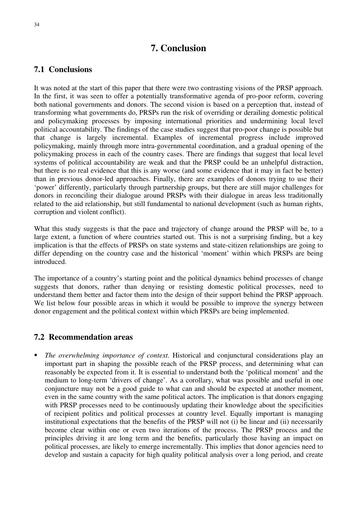# **7. Conclusion**

## **7.1 Conclusions**

It was noted at the start of this paper that there were two contrasting visions of the PRSP approach. In the first, it was seen to offer a potentially transformative agenda of pro-poor reform, covering both national governments and donors. The second vision is based on a perception that, instead of transforming what governments do, PRSPs run the risk of overriding or derailing domestic political and policymaking processes by imposing international priorities and undermining local level political accountability. The findings of the case studies suggest that pro-poor change is possible but that change is largely incremental. Examples of incremental progress include improved policymaking, mainly through more intra-governmental coordination, and a gradual opening of the policymaking process in each of the country cases. There are findings that suggest that local level systems of political accountability are weak and that the PRSP could be an unhelpful distraction, but there is no real evidence that this is any worse (and some evidence that it may in fact be better) than in previous donor-led approaches. Finally, there are examples of donors trying to use their 'power' differently, particularly through partnership groups, but there are still major challenges for donors in reconciling their dialogue around PRSPs with their dialogue in areas less traditionally related to the aid relationship, but still fundamental to national development (such as human rights, corruption and violent conflict).

What this study suggests is that the pace and trajectory of change around the PRSP will be, to a large extent, a function of where countries started out. This is not a surprising finding, but a key implication is that the effects of PRSPs on state systems and state-citizen relationships are going to differ depending on the country case and the historical 'moment' within which PRSPs are being introduced.

The importance of a country's starting point and the political dynamics behind processes of change suggests that donors, rather than denying or resisting domestic political processes, need to understand them better and factor them into the design of their support behind the PRSP approach. We list below four possible areas in which it would be possible to improve the synergy between donor engagement and the political context within which PRSPs are being implemented.

## **7.2 Recommendation areas**

 *The overwhelming importance of context.* Historical and conjunctural considerations play an important part in shaping the possible reach of the PRSP process, and determining what can reasonably be expected from it. It is essential to understand both the 'political moment' and the medium to long-term 'drivers of change'. As a corollary, what was possible and useful in one conjuncture may not be a good guide to what can and should be expected at another moment, even in the same country with the same political actors. The implication is that donors engaging with PRSP processes need to be continuously updating their knowledge about the specificities of recipient politics and political processes at country level. Equally important is managing institutional expectations that the benefits of the PRSP will not (i) be linear and (ii) necessarily become clear within one or even two iterations of the process. The PRSP process and the principles driving it are long term and the benefits, particularly those having an impact on political processes, are likely to emerge incrementally. This implies that donor agencies need to develop and sustain a capacity for high quality political analysis over a long period, and create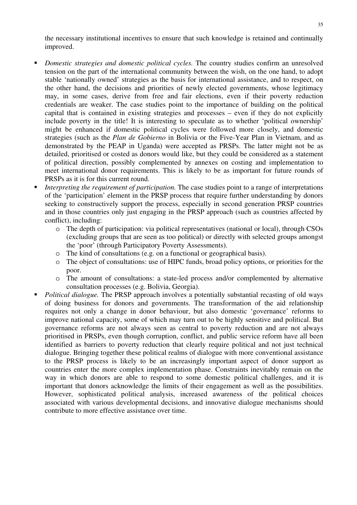the necessary institutional incentives to ensure that such knowledge is retained and continually improved.

- *Domestic strategies and domestic political cycles.* The country studies confirm an unresolved tension on the part of the international community between the wish, on the one hand, to adopt stable 'nationally owned' strategies as the basis for international assistance, and to respect, on the other hand, the decisions and priorities of newly elected governments, whose legitimacy may, in some cases, derive from free and fair elections, even if their poverty reduction credentials are weaker. The case studies point to the importance of building on the political capital that is contained in existing strategies and processes – even if they do not explicitly include poverty in the title! It is interesting to speculate as to whether 'political ownership' might be enhanced if domestic political cycles were followed more closely, and domestic strategies (such as the *Plan de Gobierno* in Bolivia or the Five-Year Plan in Vietnam, and as demonstrated by the PEAP in Uganda) were accepted as PRSPs. The latter might not be as detailed, prioritised or costed as donors would like, but they could be considered as a statement of political direction, possibly complemented by annexes on costing and implementation to meet international donor requirements. This is likely to be as important for future rounds of PRSPs as it is for this current round.
- *Interpreting the requirement of participation.* The case studies point to a range of interpretations of the 'participation' element in the PRSP process that require further understanding by donors seeking to constructively support the process, especially in second generation PRSP countries and in those countries only just engaging in the PRSP approach (such as countries affected by conflict), including:
	- o The depth of participation: via political representatives (national or local), through CSOs (excluding groups that are seen as too political) or directly with selected groups amongst the 'poor' (through Participatory Poverty Assessments).
	- The kind of consultations (e.g. on a functional or geographical basis).
	- o The object of consultations: use of HIPC funds, broad policy options, or priorities for the poor.
	- o The amount of consultations: a state-led process and/or complemented by alternative consultation processes (e.g. Bolivia, Georgia).
- *Political dialogue.* The PRSP approach involves a potentially substantial recasting of old ways of doing business for donors and governments. The transformation of the aid relationship requires not only a change in donor behaviour, but also domestic 'governance' reforms to improve national capacity, some of which may turn out to be highly sensitive and political. But governance reforms are not always seen as central to poverty reduction and are not always prioritised in PRSPs, even though corruption, conflict, and public service reform have all been identified as barriers to poverty reduction that clearly require political and not just technical dialogue. Bringing together these political realms of dialogue with more conventional assistance to the PRSP process is likely to be an increasingly important aspect of donor support as countries enter the more complex implementation phase. Constraints inevitably remain on the way in which donors are able to respond to some domestic political challenges, and it is important that donors acknowledge the limits of their engagement as well as the possibilities. However, sophisticated political analysis, increased awareness of the political choices associated with various developmental decisions, and innovative dialogue mechanisms should contribute to more effective assistance over time.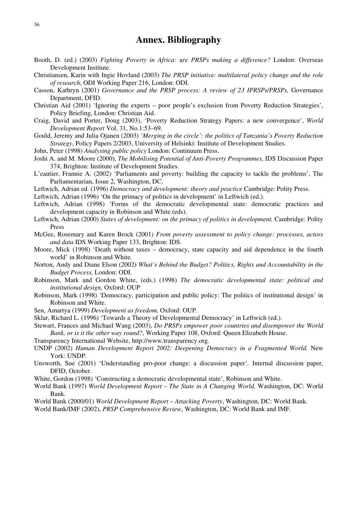# **Annex. Bibliography**

- Booth, D. (ed.) (2003) *Fighting Poverty in Africa:* a*re PRSPs making a difference?* London: Overseas Development Institute.
- Christiansen, Karin with Ingie Hovland (2003) *The PRSP initiative: multilateral policy change and the role of research*, ODI Working Paper 216, London: ODI.
- Casson, Kathryn (2001) *Governance and the PRSP process: A review of 23 IPRSPs/PRSPs,* Governance Department, DFID.
- Christian Aid (2001) 'Ignoring the experts poor people's exclusion from Poverty Reduction Strategies', Policy Briefing, London: Christian Aid.
- Craig, David and Porter, Doug (2003), 'Poverty Reduction Strategy Papers: a new convergence', *World Development Report* Vol. 31, No.1:53–69.
- Gould, Jeremy and Julia Ojanen (2003) *'Merging in the circle': the politics of Tanzania's Poverty Reduction Strategy*, Policy Papers 2/2003, University of Helsinki: Institute of Development Studies.
- John, Peter (1998) *Analysing public policy* London: Continuum Press.
- Joshi A. and M. Moore (2000), *The Mobilising Potential of Anti-Poverty Programmes,* IDS Discussion Paper 374, Brighton: Institute of Development Studies.
- L'eautier, Frannie A. (2002) 'Parliaments and poverty: building the capacity to tackle the problems', The Parliamentarian, Issue 2, Washington, DC.
- Leftwich, Adrian ed. (1996) *Democracy and development: theory and practice* Cambridge: Polity Press.
- Leftwich, Adrian (1996) 'On the primacy of politics in development' in Leftwich (ed.).
- Leftwich, Adrian (1998) 'Forms of the democratic developmental state: democratic practices and development capacity in Robinson and White (eds).
- Leftwich, Adrian (2000) *States of development: on the primacy of politics in development*, Cambridge: Polity Press
- McGee, Rosemary and Karen Brock (2001*) From poverty assessment to policy change: processes, actors and data* IDS Working Paper 133, Brighton: IDS.
- Moore, Mick (1998) 'Death without taxes democracy, state capacity and aid dependence in the fourth world' in Robinson and White.
- Norton, Andy and Diane Elson (2002) *What's Behind the Budget? Politics, Rights and Accountability in the Budget Process,* London: ODI.
- Robinson, Mark and Gordon White, (eds.) (1998) *The democratic developmental state: political and institutional design,* Oxford: OUP
- Robinson, Mark (1998) 'Democracy, participation and public policy: The politics of institutional design' in Robinson and White.
- Sen, Amartya (1999) *Development as freedom,* Oxford: OUP.
- Sklar, Richard L. (1996) 'Towards a Theory of Developmental Democracy' in Leftwich (ed.).
- Stewart, Frances and Michael Wang (2003), *Do PRSPs empower poor countries and disempower the World Bank, or is it the other way round?*, Working Paper 108, Oxford: Queen Elizabeth House.
- Transparency International Website, http://www.transparency.org.
- UNDP (2002) *Human Development Report 2002: Deepening Democracy in a Fragmented World,* New York: UNDP.
- Unsworth, Sue (2001) 'Understanding pro-poor change: a discussion paper'*.* Internal discussion paper, DFID, October.
- White, Gordon (1998) 'Constructing a democratic developmental state', Robinson and White.
- World Bank (1997) *World Development Report The State in A Changing World,* Washington, DC: World Bank.
- World Bank (2000/01) *World Development Report Attacking Poverty*, Washington, DC: World Bank.
- World Bank/IMF (2002), *PRSP Comprehensive Review*, Washington, DC: World Bank and IMF.